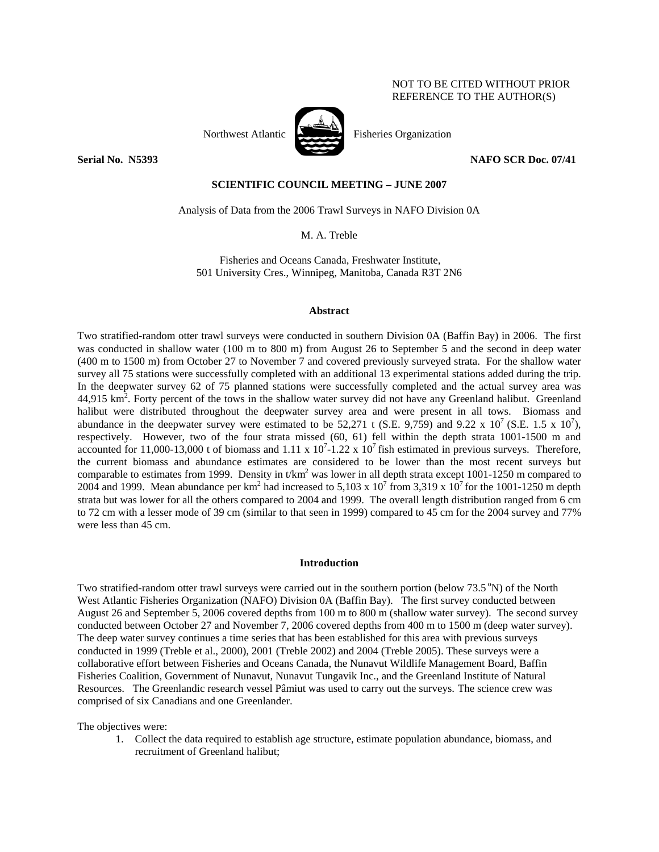## NOT TO BE CITED WITHOUT PRIOR REFERENCE TO THE AUTHOR(S)



Northwest Atlantic **No. 1989** Fisheries Organization

**Serial No. 3233 NAFO SCR Doc. 07/41 NAFO SCR Doc. 07/41** 

# **SCIENTIFIC COUNCIL MEETING – JUNE 2007**

Analysis of Data from the 2006 Trawl Surveys in NAFO Division 0A

M. A. Treble

Fisheries and Oceans Canada, Freshwater Institute, 501 University Cres., Winnipeg, Manitoba, Canada R3T 2N6

### **Abstract**

Two stratified-random otter trawl surveys were conducted in southern Division 0A (Baffin Bay) in 2006. The first was conducted in shallow water (100 m to 800 m) from August 26 to September 5 and the second in deep water (400 m to 1500 m) from October 27 to November 7 and covered previously surveyed strata. For the shallow water survey all 75 stations were successfully completed with an additional 13 experimental stations added during the trip. In the deepwater survey 62 of 75 planned stations were successfully completed and the actual survey area was  $44,915 \text{ km}^2$ . Forty percent of the tows in the shallow water survey did not have any Greenland halibut. Greenland halibut were distributed throughout the deepwater survey area and were present in all tows. Biomass and abundance in the deepwater survey were estimated to be 52,271 t (S.E. 9,759) and 9.22 x 10<sup>7</sup> (S.E. 1.5 x 10<sup>7</sup>), respectively. However, two of the four strata missed (60, 61) fell within the depth strata 1001-1500 m and accounted for 11,000-13,000 t of biomass and 1.11 x  $10^7$ -1.22 x  $10^7$  fish estimated in previous surveys. Therefore, the current biomass and abundance estimates are considered to be lower than the most recent surveys but comparable to estimates from 1999. Density in t/km<sup>2</sup> was lower in all depth strata except 1001-1250 m compared to 2004 and 1999. Mean abundance per km<sup>2</sup> had increased to 5,103 x 10<sup>7</sup> from 3,319 x 10<sup>7</sup> for the 1001-1250 m depth strata but was lower for all the others compared to 2004 and 1999. The overall length distribution ranged from 6 cm to 72 cm with a lesser mode of 39 cm (similar to that seen in 1999) compared to 45 cm for the 2004 survey and 77% were less than 45 cm.

### **Introduction**

Two stratified-random otter trawl surveys were carried out in the southern portion (below  $73.5\textdegree\text{N}$ ) of the North West Atlantic Fisheries Organization (NAFO) Division 0A (Baffin Bay). The first survey conducted between August 26 and September 5, 2006 covered depths from 100 m to 800 m (shallow water survey). The second survey conducted between October 27 and November 7, 2006 covered depths from 400 m to 1500 m (deep water survey). The deep water survey continues a time series that has been established for this area with previous surveys conducted in 1999 (Treble et al., 2000), 2001 (Treble 2002) and 2004 (Treble 2005). These surveys were a collaborative effort between Fisheries and Oceans Canada, the Nunavut Wildlife Management Board, Baffin Fisheries Coalition, Government of Nunavut, Nunavut Tungavik Inc., and the Greenland Institute of Natural Resources. The Greenlandic research vessel Pâmiut was used to carry out the surveys. The science crew was comprised of six Canadians and one Greenlander.

The objectives were:

1. Collect the data required to establish age structure, estimate population abundance, biomass, and recruitment of Greenland halibut;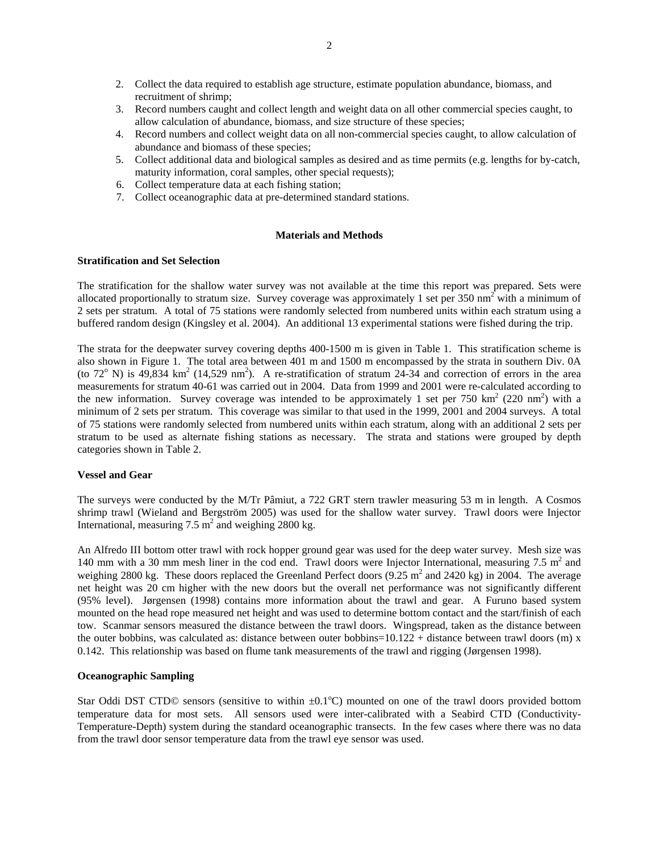- 2. Collect the data required to establish age structure, estimate population abundance, biomass, and recruitment of shrimp;
- 3. Record numbers caught and collect length and weight data on all other commercial species caught, to allow calculation of abundance, biomass, and size structure of these species;
- 4. Record numbers and collect weight data on all non-commercial species caught, to allow calculation of abundance and biomass of these species;
- 5. Collect additional data and biological samples as desired and as time permits (e.g. lengths for by-catch, maturity information, coral samples, other special requests);
- 6. Collect temperature data at each fishing station;
- 7. Collect oceanographic data at pre-determined standard stations.

### **Materials and Methods**

## **Stratification and Set Selection**

The stratification for the shallow water survey was not available at the time this report was prepared. Sets were allocated proportionally to stratum size. Survey coverage was approximately 1 set per 350 nm<sup>2</sup> with a minimum of 2 sets per stratum. A total of 75 stations were randomly selected from numbered units within each stratum using a buffered random design (Kingsley et al. 2004). An additional 13 experimental stations were fished during the trip.

The strata for the deepwater survey covering depths 400-1500 m is given in Table 1. This stratification scheme is also shown in Figure 1. The total area between 401 m and 1500 m encompassed by the strata in southern Div. 0A (to  $72^{\circ}$  N) is 49,834 km<sup>2</sup> (14,529 nm<sup>2</sup>). A re-stratification of stratum 24-34 and correction of errors in the area measurements for stratum 40-61 was carried out in 2004. Data from 1999 and 2001 were re-calculated according to the new information. Survey coverage was intended to be approximately 1 set per 750  $\text{km}^2$  (220 nm<sup>2</sup>) with a minimum of 2 sets per stratum. This coverage was similar to that used in the 1999, 2001 and 2004 surveys. A total of 75 stations were randomly selected from numbered units within each stratum, along with an additional 2 sets per stratum to be used as alternate fishing stations as necessary. The strata and stations were grouped by depth categories shown in Table 2.

### **Vessel and Gear**

The surveys were conducted by the M/Tr Pâmiut, a 722 GRT stern trawler measuring 53 m in length. A Cosmos shrimp trawl (Wieland and Bergström 2005) was used for the shallow water survey. Trawl doors were Injector International, measuring 7.5  $m^2$  and weighing 2800 kg.

An Alfredo III bottom otter trawl with rock hopper ground gear was used for the deep water survey. Mesh size was 140 mm with a 30 mm mesh liner in the cod end. Trawl doors were Injector International, measuring 7.5  $m<sup>2</sup>$  and weighing 2800 kg. These doors replaced the Greenland Perfect doors  $(9.25 \text{ m}^2 \text{ and } 2420 \text{ kg})$  in 2004. The average net height was 20 cm higher with the new doors but the overall net performance was not significantly different (95% level). Jørgensen (1998) contains more information about the trawl and gear. A Furuno based system mounted on the head rope measured net height and was used to determine bottom contact and the start/finish of each tow. Scanmar sensors measured the distance between the trawl doors. Wingspread, taken as the distance between the outer bobbins, was calculated as: distance between outer bobbins=10.122 + distance between trawl doors (m) x 0.142. This relationship was based on flume tank measurements of the trawl and rigging (Jørgensen 1998).

## **Oceanographic Sampling**

Star Oddi DST CTD© sensors (sensitive to within  $\pm 0.1^{\circ}$ C) mounted on one of the trawl doors provided bottom temperature data for most sets. All sensors used were inter-calibrated with a Seabird CTD (Conductivity-Temperature-Depth) system during the standard oceanographic transects. In the few cases where there was no data from the trawl door sensor temperature data from the trawl eye sensor was used.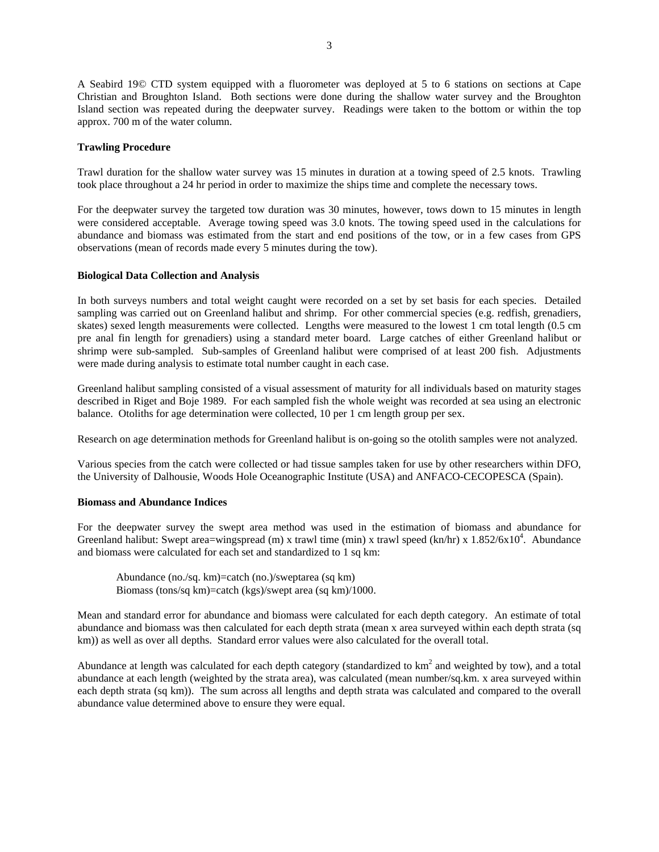3

A Seabird 19© CTD system equipped with a fluorometer was deployed at 5 to 6 stations on sections at Cape Christian and Broughton Island. Both sections were done during the shallow water survey and the Broughton Island section was repeated during the deepwater survey. Readings were taken to the bottom or within the top approx. 700 m of the water column.

## **Trawling Procedure**

Trawl duration for the shallow water survey was 15 minutes in duration at a towing speed of 2.5 knots. Trawling took place throughout a 24 hr period in order to maximize the ships time and complete the necessary tows.

For the deepwater survey the targeted tow duration was 30 minutes, however, tows down to 15 minutes in length were considered acceptable. Average towing speed was 3.0 knots. The towing speed used in the calculations for abundance and biomass was estimated from the start and end positions of the tow, or in a few cases from GPS observations (mean of records made every 5 minutes during the tow).

## **Biological Data Collection and Analysis**

In both surveys numbers and total weight caught were recorded on a set by set basis for each species. Detailed sampling was carried out on Greenland halibut and shrimp. For other commercial species (e.g. redfish, grenadiers, skates) sexed length measurements were collected. Lengths were measured to the lowest 1 cm total length (0.5 cm pre anal fin length for grenadiers) using a standard meter board. Large catches of either Greenland halibut or shrimp were sub-sampled. Sub-samples of Greenland halibut were comprised of at least 200 fish. Adjustments were made during analysis to estimate total number caught in each case.

Greenland halibut sampling consisted of a visual assessment of maturity for all individuals based on maturity stages described in Riget and Boje 1989. For each sampled fish the whole weight was recorded at sea using an electronic balance. Otoliths for age determination were collected, 10 per 1 cm length group per sex.

Research on age determination methods for Greenland halibut is on-going so the otolith samples were not analyzed.

Various species from the catch were collected or had tissue samples taken for use by other researchers within DFO, the University of Dalhousie, Woods Hole Oceanographic Institute (USA) and ANFACO-CECOPESCA (Spain).

## **Biomass and Abundance Indices**

For the deepwater survey the swept area method was used in the estimation of biomass and abundance for Greenland halibut: Swept area=wingspread (m) x trawl time (min) x trawl speed (kn/hr) x 1.852/6x10<sup>4</sup>. Abundance and biomass were calculated for each set and standardized to 1 sq km:

Abundance (no./sq. km)=catch (no.)/sweptarea (sq km) Biomass (tons/sq km)=catch (kgs)/swept area (sq km)/1000.

Mean and standard error for abundance and biomass were calculated for each depth category. An estimate of total abundance and biomass was then calculated for each depth strata (mean x area surveyed within each depth strata (sq km)) as well as over all depths. Standard error values were also calculated for the overall total.

Abundance at length was calculated for each depth category (standardized to  $km^2$  and weighted by tow), and a total abundance at each length (weighted by the strata area), was calculated (mean number/sq.km. x area surveyed within each depth strata (sq km)). The sum across all lengths and depth strata was calculated and compared to the overall abundance value determined above to ensure they were equal.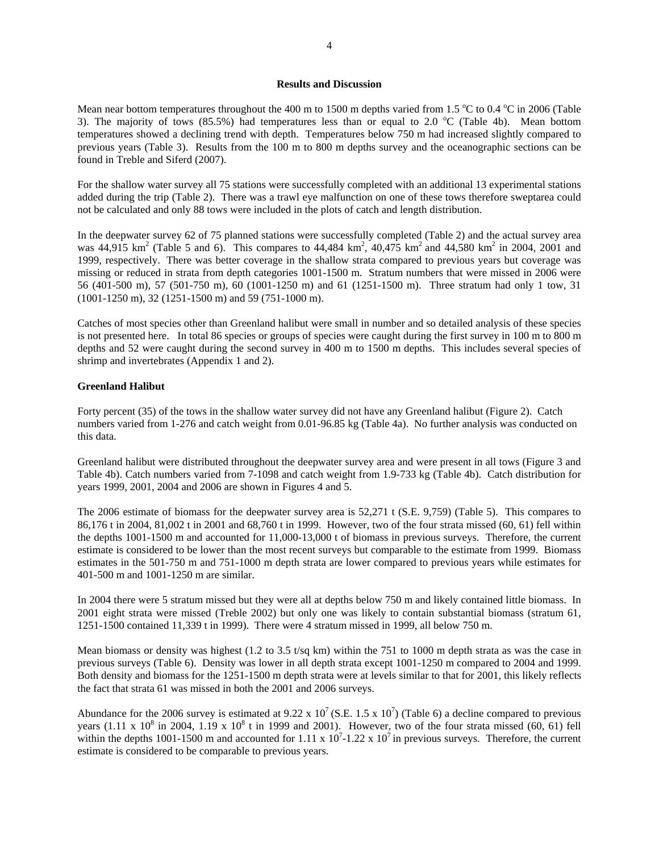#### **Results and Discussion**

Mean near bottom temperatures throughout the 400 m to 1500 m depths varied from 1.5  $\rm{°C}$  to 0.4  $\rm{°C}$  in 2006 (Table 3). The majority of tows  $(85.5%)$  had temperatures less than or equal to 2.0 °C (Table 4b). Mean bottom temperatures showed a declining trend with depth. Temperatures below 750 m had increased slightly compared to previous years (Table 3). Results from the 100 m to 800 m depths survey and the oceanographic sections can be found in Treble and Siferd (2007).

For the shallow water survey all 75 stations were successfully completed with an additional 13 experimental stations added during the trip (Table 2). There was a trawl eye malfunction on one of these tows therefore sweptarea could not be calculated and only 88 tows were included in the plots of catch and length distribution.

In the deepwater survey 62 of 75 planned stations were successfully completed (Table 2) and the actual survey area was  $44,915 \text{ km}^2$  (Table 5 and 6). This compares to  $44,484 \text{ km}^2$ ,  $40,475 \text{ km}^2$  and  $44,580 \text{ km}^2$  in 2004, 2001 and 1999, respectively. There was better coverage in the shallow strata compared to previous years but coverage was missing or reduced in strata from depth categories 1001-1500 m. Stratum numbers that were missed in 2006 were 56 (401-500 m), 57 (501-750 m), 60 (1001-1250 m) and 61 (1251-1500 m). Three stratum had only 1 tow, 31 (1001-1250 m), 32 (1251-1500 m) and 59 (751-1000 m).

Catches of most species other than Greenland halibut were small in number and so detailed analysis of these species is not presented here. In total 86 species or groups of species were caught during the first survey in 100 m to 800 m depths and 52 were caught during the second survey in 400 m to 1500 m depths. This includes several species of shrimp and invertebrates (Appendix 1 and 2).

### **Greenland Halibut**

Forty percent (35) of the tows in the shallow water survey did not have any Greenland halibut (Figure 2). Catch numbers varied from 1-276 and catch weight from 0.01-96.85 kg (Table 4a). No further analysis was conducted on this data.

Greenland halibut were distributed throughout the deepwater survey area and were present in all tows (Figure 3 and Table 4b). Catch numbers varied from 7-1098 and catch weight from 1.9-733 kg (Table 4b). Catch distribution for years 1999, 2001, 2004 and 2006 are shown in Figures 4 and 5.

The 2006 estimate of biomass for the deepwater survey area is 52,271 t (S.E. 9,759) (Table 5). This compares to 86,176 t in 2004, 81,002 t in 2001 and 68,760 t in 1999. However, two of the four strata missed (60, 61) fell within the depths 1001-1500 m and accounted for 11,000-13,000 t of biomass in previous surveys. Therefore, the current estimate is considered to be lower than the most recent surveys but comparable to the estimate from 1999. Biomass estimates in the 501-750 m and 751-1000 m depth strata are lower compared to previous years while estimates for 401-500 m and 1001-1250 m are similar.

In 2004 there were 5 stratum missed but they were all at depths below 750 m and likely contained little biomass. In 2001 eight strata were missed (Treble 2002) but only one was likely to contain substantial biomass (stratum 61, 1251-1500 contained 11,339 t in 1999). There were 4 stratum missed in 1999, all below 750 m.

Mean biomass or density was highest (1.2 to 3.5 t/sq km) within the 751 to 1000 m depth strata as was the case in previous surveys (Table 6). Density was lower in all depth strata except 1001-1250 m compared to 2004 and 1999. Both density and biomass for the 1251-1500 m depth strata were at levels similar to that for 2001, this likely reflects the fact that strata 61 was missed in both the 2001 and 2006 surveys.

Abundance for the 2006 survey is estimated at 9.22 x  $10^7$  (S.E. 1.5 x  $10^7$ ) (Table 6) a decline compared to previous years  $(1.11 \times 10^8$  in 2004,  $1.19 \times 10^8$  t in 1999 and 2001). However, two of the four strata missed  $(60, 61)$  fell within the depths 1001-1500 m and accounted for 1.11 x  $10^7$ -1.22 x  $10^7$  in previous surveys. Therefore, the current estimate is considered to be comparable to previous years.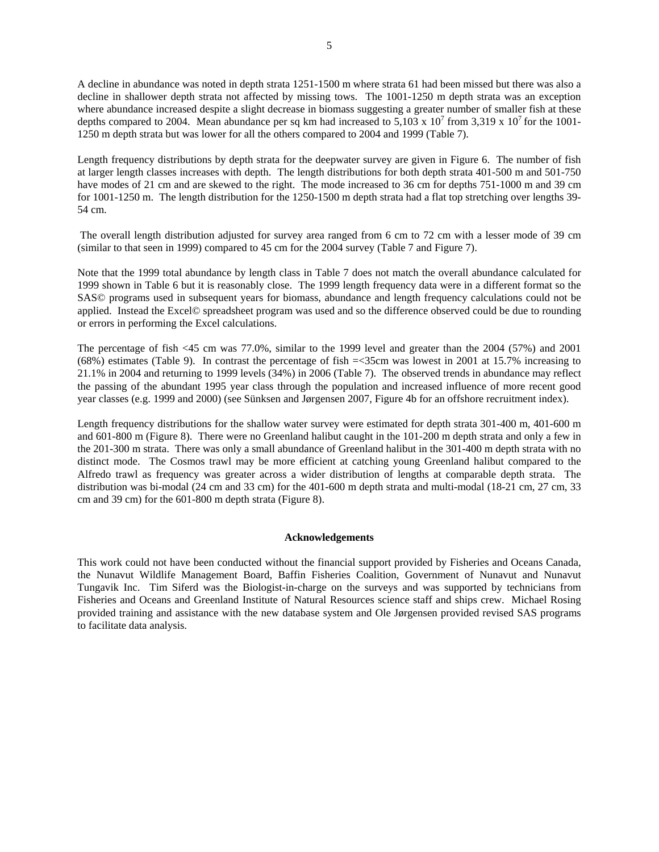A decline in abundance was noted in depth strata 1251-1500 m where strata 61 had been missed but there was also a decline in shallower depth strata not affected by missing tows. The 1001-1250 m depth strata was an exception where abundance increased despite a slight decrease in biomass suggesting a greater number of smaller fish at these depths compared to 2004. Mean abundance per sq km had increased to  $5,103 \times 10^7$  from 3,319 x 10<sup>7</sup> for the 1001-1250 m depth strata but was lower for all the others compared to 2004 and 1999 (Table 7).

Length frequency distributions by depth strata for the deepwater survey are given in Figure 6. The number of fish at larger length classes increases with depth. The length distributions for both depth strata 401-500 m and 501-750 have modes of 21 cm and are skewed to the right. The mode increased to 36 cm for depths 751-1000 m and 39 cm for 1001-1250 m. The length distribution for the 1250-1500 m depth strata had a flat top stretching over lengths 39- 54 cm.

 The overall length distribution adjusted for survey area ranged from 6 cm to 72 cm with a lesser mode of 39 cm (similar to that seen in 1999) compared to 45 cm for the 2004 survey (Table 7 and Figure 7).

Note that the 1999 total abundance by length class in Table 7 does not match the overall abundance calculated for 1999 shown in Table 6 but it is reasonably close. The 1999 length frequency data were in a different format so the SAS© programs used in subsequent years for biomass, abundance and length frequency calculations could not be applied. Instead the Excel© spreadsheet program was used and so the difference observed could be due to rounding or errors in performing the Excel calculations.

The percentage of fish <45 cm was 77.0%, similar to the 1999 level and greater than the 2004 (57%) and 2001 (68%) estimates (Table 9). In contrast the percentage of fish =<35cm was lowest in 2001 at 15.7% increasing to 21.1% in 2004 and returning to 1999 levels (34%) in 2006 (Table 7). The observed trends in abundance may reflect the passing of the abundant 1995 year class through the population and increased influence of more recent good year classes (e.g. 1999 and 2000) (see Sünksen and Jørgensen 2007, Figure 4b for an offshore recruitment index).

Length frequency distributions for the shallow water survey were estimated for depth strata 301-400 m, 401-600 m and 601-800 m (Figure 8). There were no Greenland halibut caught in the 101-200 m depth strata and only a few in the 201-300 m strata. There was only a small abundance of Greenland halibut in the 301-400 m depth strata with no distinct mode. The Cosmos trawl may be more efficient at catching young Greenland halibut compared to the Alfredo trawl as frequency was greater across a wider distribution of lengths at comparable depth strata. The distribution was bi-modal (24 cm and 33 cm) for the 401-600 m depth strata and multi-modal (18-21 cm, 27 cm, 33 cm and 39 cm) for the 601-800 m depth strata (Figure 8).

### **Acknowledgements**

This work could not have been conducted without the financial support provided by Fisheries and Oceans Canada, the Nunavut Wildlife Management Board, Baffin Fisheries Coalition, Government of Nunavut and Nunavut Tungavik Inc. Tim Siferd was the Biologist-in-charge on the surveys and was supported by technicians from Fisheries and Oceans and Greenland Institute of Natural Resources science staff and ships crew. Michael Rosing provided training and assistance with the new database system and Ole Jørgensen provided revised SAS programs to facilitate data analysis.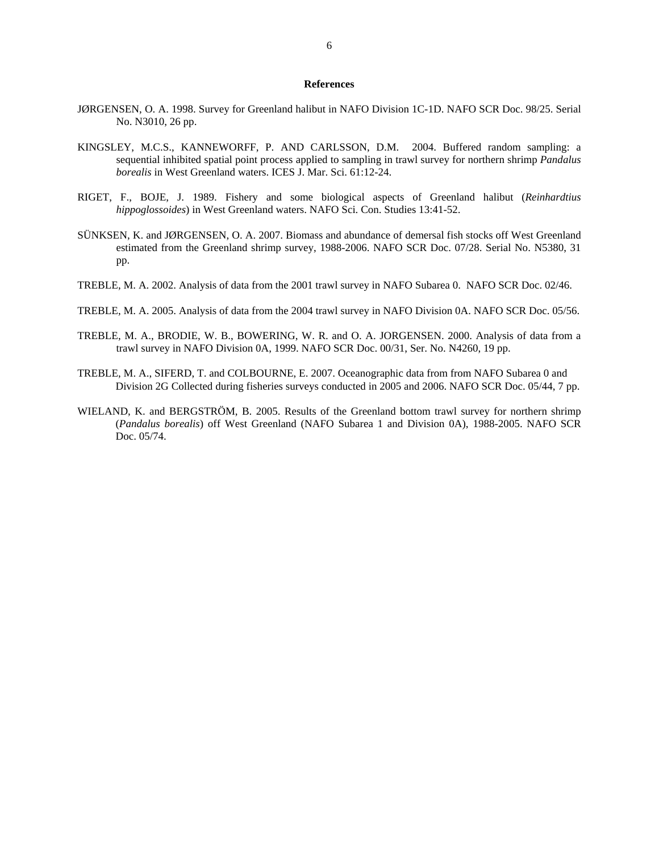#### **References**

- JØRGENSEN, O. A. 1998. Survey for Greenland halibut in NAFO Division 1C-1D. NAFO SCR Doc. 98/25. Serial No. N3010, 26 pp.
- KINGSLEY, M.C.S., KANNEWORFF, P. AND CARLSSON, D.M. 2004. Buffered random sampling: a sequential inhibited spatial point process applied to sampling in trawl survey for northern shrimp *Pandalus borealis* in West Greenland waters. ICES J. Mar. Sci. 61:12-24.
- RIGET, F., BOJE, J. 1989. Fishery and some biological aspects of Greenland halibut (*Reinhardtius hippoglossoides*) in West Greenland waters. NAFO Sci. Con. Studies 13:41-52.
- SÜNKSEN, K. and JØRGENSEN, O. A. 2007. Biomass and abundance of demersal fish stocks off West Greenland estimated from the Greenland shrimp survey, 1988-2006. NAFO SCR Doc. 07/28. Serial No. N5380, 31 pp.
- TREBLE, M. A. 2002. Analysis of data from the 2001 trawl survey in NAFO Subarea 0. NAFO SCR Doc. 02/46.
- TREBLE, M. A. 2005. Analysis of data from the 2004 trawl survey in NAFO Division 0A. NAFO SCR Doc. 05/56.
- TREBLE, M. A., BRODIE, W. B., BOWERING, W. R. and O. A. JORGENSEN. 2000. Analysis of data from a trawl survey in NAFO Division 0A, 1999. NAFO SCR Doc. 00/31, Ser. No. N4260, 19 pp.
- TREBLE, M. A., SIFERD, T. and COLBOURNE, E. 2007. Oceanographic data from from NAFO Subarea 0 and Division 2G Collected during fisheries surveys conducted in 2005 and 2006. NAFO SCR Doc. 05/44, 7 pp.
- WIELAND, K. and BERGSTRÖM, B. 2005. Results of the Greenland bottom trawl survey for northern shrimp (*Pandalus borealis*) off West Greenland (NAFO Subarea 1 and Division 0A), 1988-2005. NAFO SCR Doc. 05/74.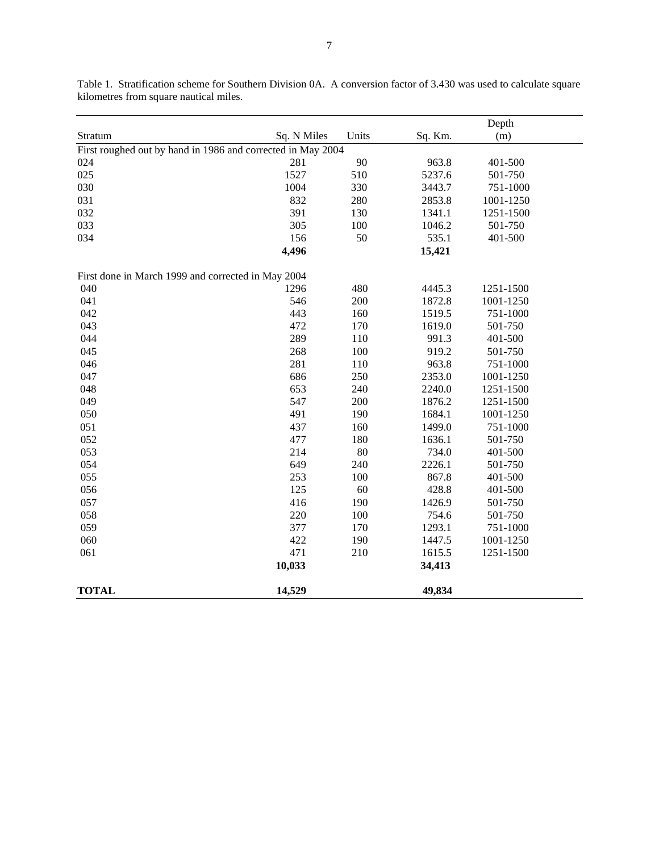|                                                             |             |       |         | Depth     |  |
|-------------------------------------------------------------|-------------|-------|---------|-----------|--|
| Stratum                                                     | Sq. N Miles | Units | Sq. Km. | (m)       |  |
| First roughed out by hand in 1986 and corrected in May 2004 |             |       |         |           |  |
| 024                                                         | 281         | 90    | 963.8   | 401-500   |  |
| 025                                                         | 1527        | 510   | 5237.6  | 501-750   |  |
| 030                                                         | 1004        | 330   | 3443.7  | 751-1000  |  |
| 031                                                         | 832         | 280   | 2853.8  | 1001-1250 |  |
| 032                                                         | 391         | 130   | 1341.1  | 1251-1500 |  |
| 033                                                         | 305         | 100   | 1046.2  | 501-750   |  |
| 034                                                         | 156         | 50    | 535.1   | 401-500   |  |
|                                                             | 4,496       |       | 15,421  |           |  |
| First done in March 1999 and corrected in May 2004          |             |       |         |           |  |
| 040                                                         | 1296        | 480   | 4445.3  | 1251-1500 |  |
| 041                                                         | 546         | 200   | 1872.8  | 1001-1250 |  |
| 042                                                         | 443         | 160   | 1519.5  | 751-1000  |  |
| 043                                                         | 472         | 170   | 1619.0  | 501-750   |  |
| 044                                                         | 289         | 110   | 991.3   | 401-500   |  |
| 045                                                         | 268         | 100   | 919.2   | 501-750   |  |
| 046                                                         | 281         | 110   | 963.8   | 751-1000  |  |
| 047                                                         | 686         | 250   | 2353.0  | 1001-1250 |  |
| 048                                                         | 653         | 240   | 2240.0  | 1251-1500 |  |
| 049                                                         | 547         | 200   | 1876.2  | 1251-1500 |  |
| 050                                                         | 491         | 190   | 1684.1  | 1001-1250 |  |
| 051                                                         | 437         | 160   | 1499.0  | 751-1000  |  |
| 052                                                         | 477         | 180   | 1636.1  | 501-750   |  |
| 053                                                         | 214         | 80    | 734.0   | 401-500   |  |
| 054                                                         | 649         | 240   | 2226.1  | 501-750   |  |
| 055                                                         | 253         | 100   | 867.8   | 401-500   |  |
| 056                                                         | 125         | 60    | 428.8   | 401-500   |  |
| 057                                                         | 416         | 190   | 1426.9  | 501-750   |  |
| 058                                                         | 220         | 100   | 754.6   | 501-750   |  |
| 059                                                         | 377         | 170   | 1293.1  | 751-1000  |  |
| 060                                                         | 422         | 190   | 1447.5  | 1001-1250 |  |
| 061                                                         | 471         | 210   | 1615.5  | 1251-1500 |  |
|                                                             | 10,033      |       | 34,413  |           |  |
| <b>TOTAL</b>                                                | 14,529      |       | 49,834  |           |  |

Table 1. Stratification scheme for Southern Division 0A. A conversion factor of 3.430 was used to calculate square kilometres from square nautical miles.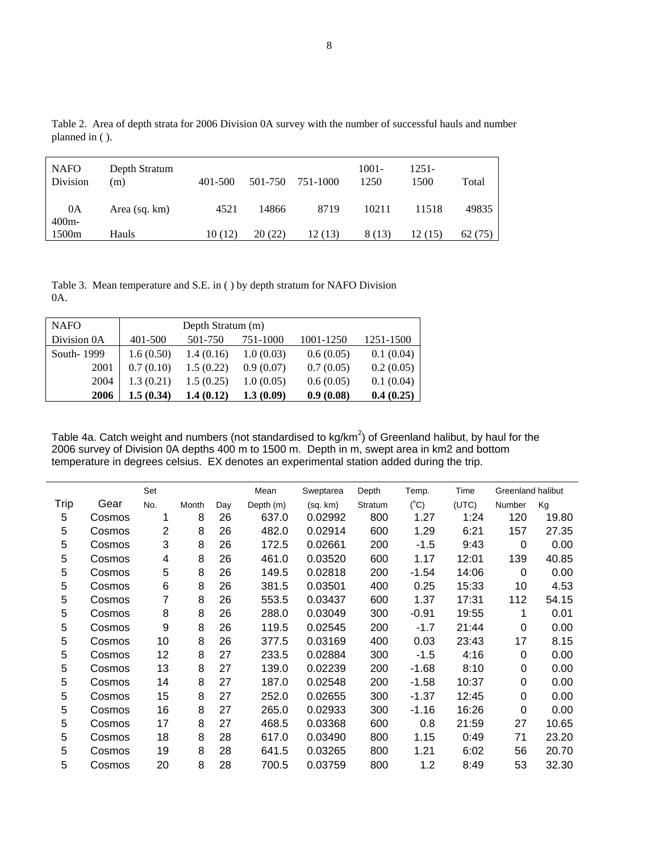| <b>NAFO</b><br>Division | Depth Stratum<br>(m) | 401-500 | 501-750 | 751-1000 | $1001 -$<br>1250 | 1251-<br>1500 | Total   |
|-------------------------|----------------------|---------|---------|----------|------------------|---------------|---------|
| 0A<br>$400m -$          | Area (sq. km)        | 4521    | 14866   | 8719     | 10211            | 11518         | 49835   |
| 1500m                   | Hauls                | 10(12)  | 20(22)  | 12(13)   | 8 (13)           | l 2 (15)      | 62 (75) |

Table 2. Area of depth strata for 2006 Division 0A survey with the number of successful hauls and number planned in ( ).

Table 3. Mean temperature and S.E. in ( ) by depth stratum for NAFO Division 0A.

| <b>NAFO</b> | Depth Stratum (m) |           |           |           |           |  |  |  |  |
|-------------|-------------------|-----------|-----------|-----------|-----------|--|--|--|--|
| Division 0A | 401-500           | 501-750   | 751-1000  | 1001-1250 | 1251-1500 |  |  |  |  |
| South-1999  | 1.6(0.50)         | 1.4(0.16) | 1.0(0.03) | 0.6(0.05) | 0.1(0.04) |  |  |  |  |
| 2001        | 0.7(0.10)         | 1.5(0.22) | 0.9(0.07) | 0.7(0.05) | 0.2(0.05) |  |  |  |  |
| 2004        | 1.3(0.21)         | 1.5(0.25) | 1.0(0.05) | 0.6(0.05) | 0.1(0.04) |  |  |  |  |
| 2006        | 1.5(0.34)         | 1.4(0.12) | 1.3(0.09) | 0.9(0.08) | 0.4(0.25) |  |  |  |  |

 $\overline{a}$ 

Table 4a. Catch weight and numbers (not standardised to kg/km<sup>2</sup>) of Greenland halibut, by haul for the 2006 survey of Division 0A depths 400 m to 1500 m. Depth in m, swept area in km2 and bottom temperature in degrees celsius. EX denotes an experimental station added during the trip.

|                |        | Set            |       |     | Mean      | Sweptarea | Depth   | Temp.         | Time  | Greenland halibut |       |
|----------------|--------|----------------|-------|-----|-----------|-----------|---------|---------------|-------|-------------------|-------|
| Trip           | Gear   | No.            | Month | Day | Depth (m) | (sq. km)  | Stratum | $(^{\circ}C)$ | (UTC) | Number            | Kg    |
| 5              | Cosmos | 1              | 8     | 26  | 637.0     | 0.02992   | 800     | 1.27          | 1:24  | 120               | 19.80 |
| 5              | Cosmos | $\overline{2}$ | 8     | 26  | 482.0     | 0.02914   | 600     | 1.29          | 6:21  | 157               | 27.35 |
| 5              | Cosmos | 3              | 8     | 26  | 172.5     | 0.02661   | 200     | $-1.5$        | 9:43  | 0                 | 0.00  |
| 5              | Cosmos | 4              | 8     | 26  | 461.0     | 0.03520   | 600     | 1.17          | 12:01 | 139               | 40.85 |
| 5              | Cosmos | 5              | 8     | 26  | 149.5     | 0.02818   | 200     | $-1.54$       | 14:06 | 0                 | 0.00  |
| 5              | Cosmos | 6              | 8     | 26  | 381.5     | 0.03501   | 400     | 0.25          | 15:33 | 10                | 4.53  |
| 5              | Cosmos | 7              | 8     | 26  | 553.5     | 0.03437   | 600     | 1.37          | 17:31 | 112               | 54.15 |
| 5              | Cosmos | 8              | 8     | 26  | 288.0     | 0.03049   | 300     | $-0.91$       | 19:55 | 1                 | 0.01  |
| 5              | Cosmos | 9              | 8     | 26  | 119.5     | 0.02545   | 200     | $-1.7$        | 21:44 | 0                 | 0.00  |
| 5              | Cosmos | 10             | 8     | 26  | 377.5     | 0.03169   | 400     | 0.03          | 23:43 | 17                | 8.15  |
| 5              | Cosmos | 12             | 8     | 27  | 233.5     | 0.02884   | 300     | $-1.5$        | 4:16  | 0                 | 0.00  |
| $\overline{5}$ | Cosmos | 13             | 8     | 27  | 139.0     | 0.02239   | 200     | $-1.68$       | 8:10  | 0                 | 0.00  |
| 5              | Cosmos | 14             | 8     | 27  | 187.0     | 0.02548   | 200     | $-1.58$       | 10:37 | 0                 | 0.00  |
| 5              | Cosmos | 15             | 8     | 27  | 252.0     | 0.02655   | 300     | $-1.37$       | 12:45 | 0                 | 0.00  |
| 5              | Cosmos | 16             | 8     | 27  | 265.0     | 0.02933   | 300     | $-1.16$       | 16:26 | 0                 | 0.00  |
| 5              | Cosmos | 17             | 8     | 27  | 468.5     | 0.03368   | 600     | 0.8           | 21:59 | 27                | 10.65 |
| 5              | Cosmos | 18             | 8     | 28  | 617.0     | 0.03490   | 800     | 1.15          | 0:49  | 71                | 23.20 |
| 5              | Cosmos | 19             | 8     | 28  | 641.5     | 0.03265   | 800     | 1.21          | 6:02  | 56                | 20.70 |
| 5              | Cosmos | 20             | 8     | 28  | 700.5     | 0.03759   | 800     | 1.2           | 8:49  | 53                | 32.30 |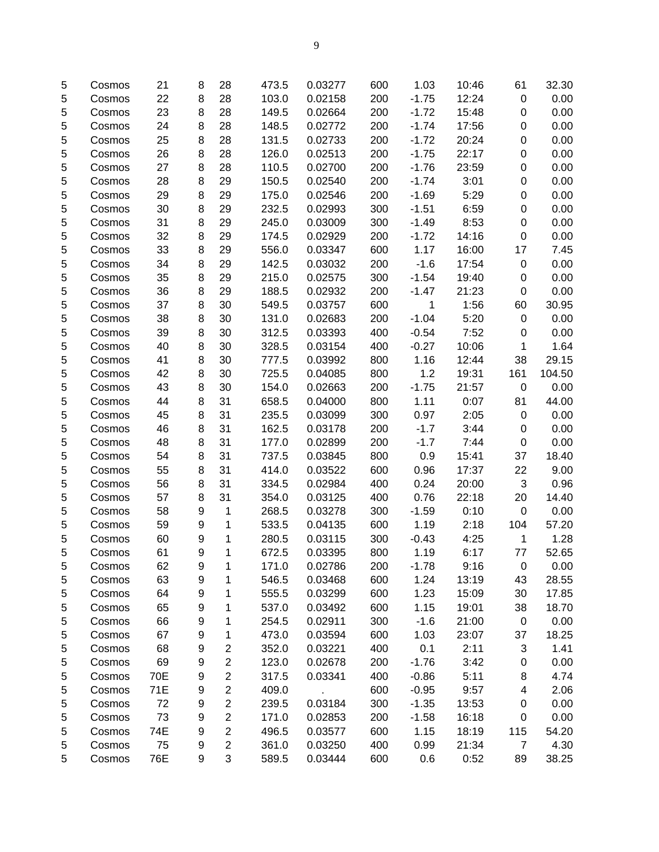| 5          | Cosmos | 21  | 8 | 28                      | 473.5 | 0.03277 | 600 | 1.03    | 10:46 | 61                      | 32.30  |
|------------|--------|-----|---|-------------------------|-------|---------|-----|---------|-------|-------------------------|--------|
| 5          | Cosmos | 22  | 8 | 28                      | 103.0 | 0.02158 | 200 | $-1.75$ | 12:24 | 0                       | 0.00   |
| 5          | Cosmos | 23  | 8 | 28                      | 149.5 | 0.02664 | 200 | $-1.72$ | 15:48 | 0                       | 0.00   |
| 5          | Cosmos | 24  | 8 | 28                      | 148.5 | 0.02772 | 200 | $-1.74$ | 17:56 | 0                       | 0.00   |
| 5          | Cosmos | 25  | 8 | 28                      | 131.5 | 0.02733 | 200 | $-1.72$ | 20:24 | 0                       | 0.00   |
| 5          | Cosmos | 26  | 8 | 28                      | 126.0 | 0.02513 | 200 | $-1.75$ | 22:17 | 0                       | 0.00   |
| 5          | Cosmos | 27  | 8 | 28                      | 110.5 | 0.02700 | 200 | $-1.76$ | 23:59 | 0                       | 0.00   |
| 5          | Cosmos | 28  | 8 | 29                      | 150.5 | 0.02540 | 200 | $-1.74$ | 3:01  | 0                       | 0.00   |
| 5          | Cosmos | 29  | 8 | 29                      | 175.0 | 0.02546 | 200 | $-1.69$ | 5:29  | 0                       | 0.00   |
| 5          | Cosmos | 30  | 8 | 29                      | 232.5 | 0.02993 | 300 | $-1.51$ | 6:59  | 0                       | 0.00   |
| 5          | Cosmos | 31  | 8 | 29                      | 245.0 | 0.03009 | 300 | $-1.49$ | 8:53  | 0                       | 0.00   |
| 5          | Cosmos | 32  | 8 | 29                      | 174.5 | 0.02929 | 200 | $-1.72$ | 14:16 | 0                       | 0.00   |
| 5          | Cosmos | 33  | 8 | 29                      | 556.0 | 0.03347 | 600 | 1.17    | 16:00 | 17                      | 7.45   |
| 5          | Cosmos | 34  | 8 | 29                      | 142.5 | 0.03032 | 200 | $-1.6$  | 17:54 | 0                       | 0.00   |
| 5          | Cosmos | 35  | 8 | 29                      | 215.0 | 0.02575 | 300 | $-1.54$ | 19:40 | 0                       | 0.00   |
| 5          | Cosmos | 36  | 8 | 29                      | 188.5 | 0.02932 | 200 | $-1.47$ | 21:23 | 0                       | 0.00   |
| 5          | Cosmos | 37  | 8 | 30                      | 549.5 | 0.03757 | 600 | 1       | 1:56  | 60                      | 30.95  |
| 5          | Cosmos | 38  | 8 | 30                      | 131.0 | 0.02683 | 200 | $-1.04$ | 5:20  | 0                       | 0.00   |
| 5          | Cosmos | 39  | 8 | 30                      | 312.5 | 0.03393 | 400 | $-0.54$ | 7:52  | 0                       | 0.00   |
| 5          | Cosmos | 40  | 8 | 30                      | 328.5 | 0.03154 | 400 | $-0.27$ | 10:06 | 1                       | 1.64   |
| 5          | Cosmos | 41  | 8 | 30                      | 777.5 | 0.03992 | 800 | 1.16    | 12:44 | 38                      | 29.15  |
| 5          | Cosmos | 42  | 8 | 30                      | 725.5 | 0.04085 | 800 | 1.2     | 19:31 | 161                     | 104.50 |
| 5          |        | 43  | 8 | 30                      | 154.0 | 0.02663 | 200 | $-1.75$ | 21:57 | 0                       | 0.00   |
| 5          | Cosmos | 44  | 8 | 31                      | 658.5 | 0.04000 | 800 | 1.11    | 0:07  | 81                      | 44.00  |
|            | Cosmos | 45  |   | 31                      | 235.5 | 0.03099 | 300 | 0.97    | 2:05  | 0                       | 0.00   |
| 5          | Cosmos | 46  | 8 | 31                      | 162.5 | 0.03178 |     | $-1.7$  | 3:44  |                         |        |
| 5          | Cosmos |     | 8 |                         |       |         | 200 |         |       | 0                       | 0.00   |
| 5          | Cosmos | 48  | 8 | 31                      | 177.0 | 0.02899 | 200 | $-1.7$  | 7:44  | 0                       | 0.00   |
| 5          | Cosmos | 54  | 8 | 31                      | 737.5 | 0.03845 | 800 | 0.9     | 15:41 | 37                      | 18.40  |
| 5          | Cosmos | 55  | 8 | 31                      | 414.0 | 0.03522 | 600 | 0.96    | 17:37 | 22                      | 9.00   |
| 5          | Cosmos | 56  | 8 | 31                      | 334.5 | 0.02984 | 400 | 0.24    | 20:00 | 3                       | 0.96   |
| 5          | Cosmos | 57  | 8 | 31                      | 354.0 | 0.03125 | 400 | 0.76    | 22:18 | 20                      | 14.40  |
| 5          | Cosmos | 58  | 9 | 1                       | 268.5 | 0.03278 | 300 | $-1.59$ | 0:10  | 0                       | 0.00   |
| 5          | Cosmos | 59  | 9 | 1                       | 533.5 | 0.04135 | 600 | 1.19    | 2:18  | 104                     | 57.20  |
| 5          | Cosmos | 60  | 9 | 1                       | 280.5 | 0.03115 | 300 | $-0.43$ | 4:25  | 1                       | 1.28   |
| 5          | Cosmos | 61  | 9 | 1                       | 672.5 | 0.03395 | 800 | 1.19    | 6:17  | 77                      | 52.65  |
| $\sqrt{5}$ | Cosmos | 62  | 9 | 1                       | 171.0 | 0.02786 | 200 | $-1.78$ | 9:16  | $\mathbf 0$             | 0.00   |
| 5          | Cosmos | 63  | 9 | 1                       | 546.5 | 0.03468 | 600 | 1.24    | 13:19 | 43                      | 28.55  |
| 5          | Cosmos | 64  | 9 | 1                       | 555.5 | 0.03299 | 600 | 1.23    | 15:09 | 30                      | 17.85  |
| 5          | Cosmos | 65  | 9 | 1                       | 537.0 | 0.03492 | 600 | 1.15    | 19:01 | 38                      | 18.70  |
| 5          | Cosmos | 66  | 9 | 1                       | 254.5 | 0.02911 | 300 | $-1.6$  | 21:00 | $\mathbf 0$             | 0.00   |
| 5          | Cosmos | 67  | 9 | 1                       | 473.0 | 0.03594 | 600 | 1.03    | 23:07 | 37                      | 18.25  |
| 5          | Cosmos | 68  | 9 | $\overline{c}$          | 352.0 | 0.03221 | 400 | 0.1     | 2:11  | 3                       | 1.41   |
| 5          | Cosmos | 69  | 9 | $\overline{\mathbf{c}}$ | 123.0 | 0.02678 | 200 | $-1.76$ | 3:42  | 0                       | 0.00   |
| 5          | Cosmos | 70E | 9 | $\overline{c}$          | 317.5 | 0.03341 | 400 | $-0.86$ | 5:11  | 8                       | 4.74   |
| 5          | Cosmos | 71E | 9 | $\overline{\mathbf{c}}$ | 409.0 |         | 600 | $-0.95$ | 9:57  | $\overline{\mathbf{4}}$ | 2.06   |
| 5          | Cosmos | 72  | 9 | $\overline{\mathbf{c}}$ | 239.5 | 0.03184 | 300 | $-1.35$ | 13:53 | 0                       | 0.00   |
| 5          | Cosmos | 73  | 9 | $\overline{\mathbf{c}}$ | 171.0 | 0.02853 | 200 | $-1.58$ | 16:18 | 0                       | 0.00   |
| 5          | Cosmos | 74E | 9 | 2                       | 496.5 | 0.03577 | 600 | 1.15    | 18:19 | 115                     | 54.20  |
| 5          | Cosmos | 75  | 9 | $\overline{c}$          | 361.0 | 0.03250 | 400 | 0.99    | 21:34 | $\overline{7}$          | 4.30   |
| 5          | Cosmos | 76E | 9 | 3                       | 589.5 | 0.03444 | 600 | 0.6     | 0:52  | 89                      | 38.25  |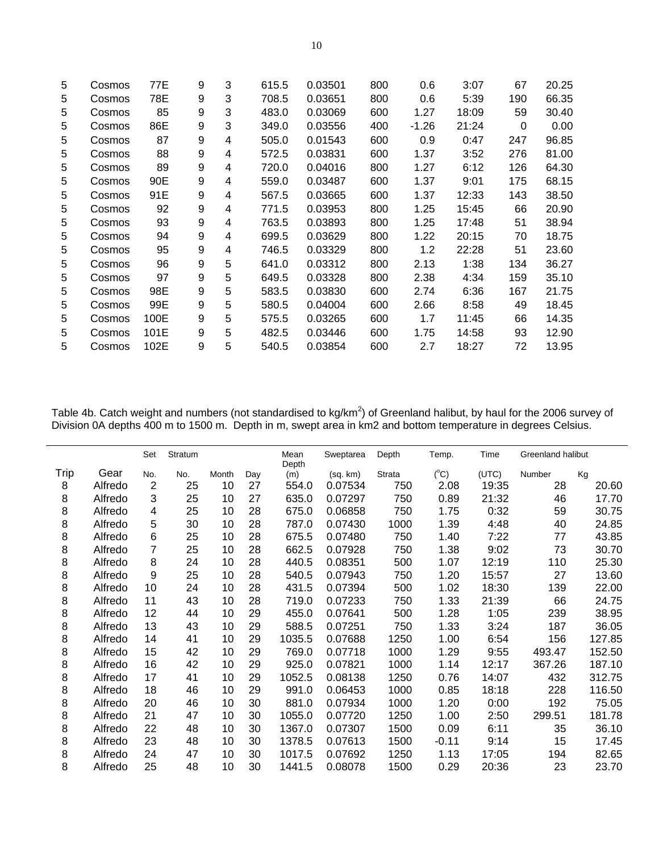| 5 | Cosmos | 77E  | 9 | 3 | 615.5 | 0.03501 | 800 | 0.6     | 3:07  | 67  | 20.25 |
|---|--------|------|---|---|-------|---------|-----|---------|-------|-----|-------|
| 5 | Cosmos | 78E  | 9 | 3 | 708.5 | 0.03651 | 800 | 0.6     | 5:39  | 190 | 66.35 |
| 5 | Cosmos | 85   | 9 | 3 | 483.0 | 0.03069 | 600 | 1.27    | 18:09 | 59  | 30.40 |
| 5 | Cosmos | 86E  | 9 | 3 | 349.0 | 0.03556 | 400 | $-1.26$ | 21:24 | 0   | 0.00  |
| 5 | Cosmos | 87   | 9 | 4 | 505.0 | 0.01543 | 600 | 0.9     | 0:47  | 247 | 96.85 |
| 5 | Cosmos | 88   | 9 | 4 | 572.5 | 0.03831 | 600 | 1.37    | 3:52  | 276 | 81.00 |
| 5 | Cosmos | 89   | 9 | 4 | 720.0 | 0.04016 | 800 | 1.27    | 6:12  | 126 | 64.30 |
| 5 | Cosmos | 90E  | 9 | 4 | 559.0 | 0.03487 | 600 | 1.37    | 9:01  | 175 | 68.15 |
| 5 | Cosmos | 91E  | 9 | 4 | 567.5 | 0.03665 | 600 | 1.37    | 12:33 | 143 | 38.50 |
| 5 | Cosmos | 92   | 9 | 4 | 771.5 | 0.03953 | 800 | 1.25    | 15:45 | 66  | 20.90 |
| 5 | Cosmos | 93   | 9 | 4 | 763.5 | 0.03893 | 800 | 1.25    | 17:48 | 51  | 38.94 |
| 5 | Cosmos | 94   | 9 | 4 | 699.5 | 0.03629 | 800 | 1.22    | 20:15 | 70  | 18.75 |
| 5 | Cosmos | 95   | 9 | 4 | 746.5 | 0.03329 | 800 | 1.2     | 22:28 | 51  | 23.60 |
| 5 | Cosmos | 96   | 9 | 5 | 641.0 | 0.03312 | 800 | 2.13    | 1:38  | 134 | 36.27 |
| 5 | Cosmos | 97   | 9 | 5 | 649.5 | 0.03328 | 800 | 2.38    | 4:34  | 159 | 35.10 |
| 5 | Cosmos | 98E  | 9 | 5 | 583.5 | 0.03830 | 600 | 2.74    | 6:36  | 167 | 21.75 |
| 5 | Cosmos | 99E  | 9 | 5 | 580.5 | 0.04004 | 600 | 2.66    | 8:58  | 49  | 18.45 |
| 5 | Cosmos | 100E | 9 | 5 | 575.5 | 0.03265 | 600 | 1.7     | 11:45 | 66  | 14.35 |
| 5 | Cosmos | 101E | 9 | 5 | 482.5 | 0.03446 | 600 | 1.75    | 14:58 | 93  | 12.90 |
| 5 | Cosmos | 102E | 9 | 5 | 540.5 | 0.03854 | 600 | 2.7     | 18:27 | 72  | 13.95 |

Table 4b. Catch weight and numbers (not standardised to kg/km<sup>2</sup>) of Greenland halibut, by haul for the 2006 survey of Division 0A depths 400 m to 1500 m. Depth in m, swept area in km2 and bottom temperature in degrees Celsius.

|      |         | Set            | Stratum |       |     | Mean<br>Depth | Sweptarea | Depth         | Temp.         | Time  | Greenland halibut |        |
|------|---------|----------------|---------|-------|-----|---------------|-----------|---------------|---------------|-------|-------------------|--------|
| Trip | Gear    | No.            | No.     | Month | Day | (m)           | (sq. km)  | <b>Strata</b> | $(^{\circ}C)$ | (UTC) | Number            | Kg     |
| 8    | Alfredo | $\overline{2}$ | 25      | 10    | 27  | 554.0         | 0.07534   | 750           | 2.08          | 19:35 | 28                | 20.60  |
| 8    | Alfredo | 3              | 25      | 10    | 27  | 635.0         | 0.07297   | 750           | 0.89          | 21:32 | 46                | 17.70  |
| 8    | Alfredo | 4              | 25      | 10    | 28  | 675.0         | 0.06858   | 750           | 1.75          | 0:32  | 59                | 30.75  |
| 8    | Alfredo | 5              | 30      | 10    | 28  | 787.0         | 0.07430   | 1000          | 1.39          | 4:48  | 40                | 24.85  |
| 8    | Alfredo | 6              | 25      | 10    | 28  | 675.5         | 0.07480   | 750           | 1.40          | 7:22  | 77                | 43.85  |
| 8    | Alfredo | 7              | 25      | 10    | 28  | 662.5         | 0.07928   | 750           | 1.38          | 9:02  | 73                | 30.70  |
| 8    | Alfredo | 8              | 24      | 10    | 28  | 440.5         | 0.08351   | 500           | 1.07          | 12:19 | 110               | 25.30  |
| 8    | Alfredo | 9              | 25      | 10    | 28  | 540.5         | 0.07943   | 750           | 1.20          | 15:57 | 27                | 13.60  |
| 8    | Alfredo | 10             | 24      | 10    | 28  | 431.5         | 0.07394   | 500           | 1.02          | 18:30 | 139               | 22.00  |
| 8    | Alfredo | 11             | 43      | 10    | 28  | 719.0         | 0.07233   | 750           | 1.33          | 21:39 | 66                | 24.75  |
| 8    | Alfredo | 12             | 44      | 10    | 29  | 455.0         | 0.07641   | 500           | 1.28          | 1:05  | 239               | 38.95  |
| 8    | Alfredo | 13             | 43      | 10    | 29  | 588.5         | 0.07251   | 750           | 1.33          | 3:24  | 187               | 36.05  |
| 8    | Alfredo | 14             | 41      | 10    | 29  | 1035.5        | 0.07688   | 1250          | 1.00          | 6:54  | 156               | 127.85 |
| 8    | Alfredo | 15             | 42      | 10    | 29  | 769.0         | 0.07718   | 1000          | 1.29          | 9:55  | 493.47            | 152.50 |
| 8    | Alfredo | 16             | 42      | 10    | 29  | 925.0         | 0.07821   | 1000          | 1.14          | 12:17 | 367.26            | 187.10 |
| 8    | Alfredo | 17             | 41      | 10    | 29  | 1052.5        | 0.08138   | 1250          | 0.76          | 14:07 | 432               | 312.75 |
| 8    | Alfredo | 18             | 46      | 10    | 29  | 991.0         | 0.06453   | 1000          | 0.85          | 18:18 | 228               | 116.50 |
| 8    | Alfredo | 20             | 46      | 10    | 30  | 881.0         | 0.07934   | 1000          | 1.20          | 0:00  | 192               | 75.05  |
| 8    | Alfredo | 21             | 47      | 10    | 30  | 1055.0        | 0.07720   | 1250          | 1.00          | 2:50  | 299.51            | 181.78 |
| 8    | Alfredo | 22             | 48      | 10    | 30  | 1367.0        | 0.07307   | 1500          | 0.09          | 6:11  | 35                | 36.10  |
| 8    | Alfredo | 23             | 48      | 10    | 30  | 1378.5        | 0.07613   | 1500          | $-0.11$       | 9:14  | 15                | 17.45  |
| 8    | Alfredo | 24             | 47      | 10    | 30  | 1017.5        | 0.07692   | 1250          | 1.13          | 17:05 | 194               | 82.65  |
| 8    | Alfredo | 25             | 48      | 10    | 30  | 1441.5        | 0.08078   | 1500          | 0.29          | 20:36 | 23                | 23.70  |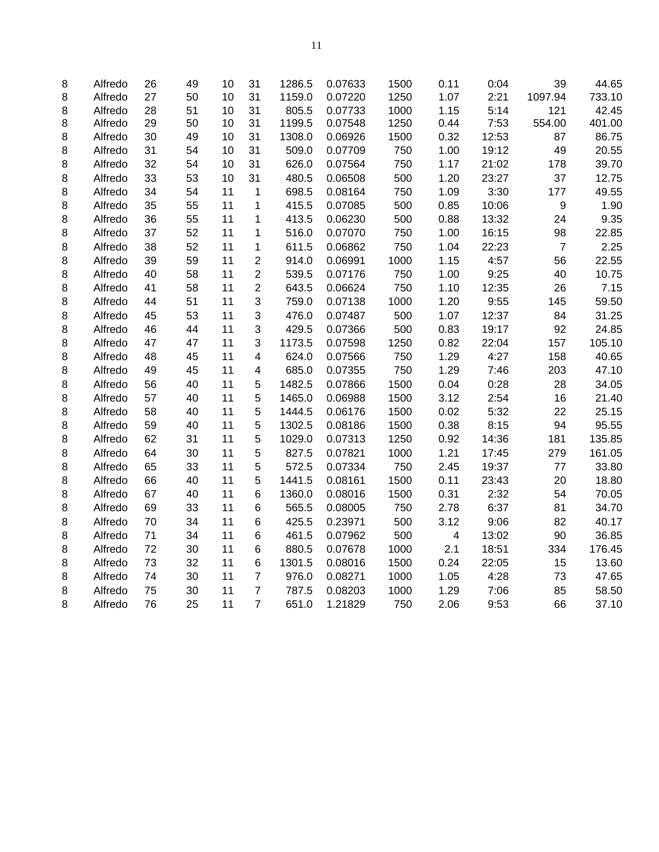| 8 | Alfredo | 26 | 49 | 10 | 31             | 1286.5 | 0.07633 | 1500 | 0.11                    | 0:04  | 39             | 44.65  |
|---|---------|----|----|----|----------------|--------|---------|------|-------------------------|-------|----------------|--------|
| 8 | Alfredo | 27 | 50 | 10 | 31             | 1159.0 | 0.07220 | 1250 | 1.07                    | 2:21  | 1097.94        | 733.10 |
| 8 | Alfredo | 28 | 51 | 10 | 31             | 805.5  | 0.07733 | 1000 | 1.15                    | 5:14  | 121            | 42.45  |
| 8 | Alfredo | 29 | 50 | 10 | 31             | 1199.5 | 0.07548 | 1250 | 0.44                    | 7:53  | 554.00         | 401.00 |
| 8 | Alfredo | 30 | 49 | 10 | 31             | 1308.0 | 0.06926 | 1500 | 0.32                    | 12:53 | 87             | 86.75  |
| 8 | Alfredo | 31 | 54 | 10 | 31             | 509.0  | 0.07709 | 750  | 1.00                    | 19:12 | 49             | 20.55  |
| 8 | Alfredo | 32 | 54 | 10 | 31             | 626.0  | 0.07564 | 750  | 1.17                    | 21:02 | 178            | 39.70  |
| 8 | Alfredo | 33 | 53 | 10 | 31             | 480.5  | 0.06508 | 500  | 1.20                    | 23:27 | 37             | 12.75  |
| 8 | Alfredo | 34 | 54 | 11 | 1              | 698.5  | 0.08164 | 750  | 1.09                    | 3:30  | 177            | 49.55  |
| 8 | Alfredo | 35 | 55 | 11 | 1              | 415.5  | 0.07085 | 500  | 0.85                    | 10:06 | 9              | 1.90   |
| 8 | Alfredo | 36 | 55 | 11 | 1              | 413.5  | 0.06230 | 500  | 0.88                    | 13:32 | 24             | 9.35   |
| 8 | Alfredo | 37 | 52 | 11 | 1              | 516.0  | 0.07070 | 750  | 1.00                    | 16:15 | 98             | 22.85  |
| 8 | Alfredo | 38 | 52 | 11 | 1              | 611.5  | 0.06862 | 750  | 1.04                    | 22:23 | $\overline{7}$ | 2.25   |
| 8 | Alfredo | 39 | 59 | 11 | $\overline{c}$ | 914.0  | 0.06991 | 1000 | 1.15                    | 4:57  | 56             | 22.55  |
| 8 | Alfredo | 40 | 58 | 11 | $\overline{c}$ | 539.5  | 0.07176 | 750  | 1.00                    | 9:25  | 40             | 10.75  |
| 8 | Alfredo | 41 | 58 | 11 | $\overline{c}$ | 643.5  | 0.06624 | 750  | 1.10                    | 12:35 | 26             | 7.15   |
| 8 | Alfredo | 44 | 51 | 11 | 3              | 759.0  | 0.07138 | 1000 | 1.20                    | 9:55  | 145            | 59.50  |
| 8 | Alfredo | 45 | 53 | 11 | 3              | 476.0  | 0.07487 | 500  | 1.07                    | 12:37 | 84             | 31.25  |
| 8 | Alfredo | 46 | 44 | 11 | 3              | 429.5  | 0.07366 | 500  | 0.83                    | 19:17 | 92             | 24.85  |
| 8 | Alfredo | 47 | 47 | 11 | 3              | 1173.5 | 0.07598 | 1250 | 0.82                    | 22:04 | 157            | 105.10 |
| 8 | Alfredo | 48 | 45 | 11 | 4              | 624.0  | 0.07566 | 750  | 1.29                    | 4:27  | 158            | 40.65  |
| 8 | Alfredo | 49 | 45 | 11 | 4              | 685.0  | 0.07355 | 750  | 1.29                    | 7:46  | 203            | 47.10  |
| 8 | Alfredo | 56 | 40 | 11 | 5              | 1482.5 | 0.07866 | 1500 | 0.04                    | 0:28  | 28             | 34.05  |
| 8 | Alfredo | 57 | 40 | 11 | 5              | 1465.0 | 0.06988 | 1500 | 3.12                    | 2:54  | 16             | 21.40  |
| 8 | Alfredo | 58 | 40 | 11 | 5              | 1444.5 | 0.06176 | 1500 | 0.02                    | 5:32  | 22             | 25.15  |
| 8 | Alfredo | 59 | 40 | 11 | 5              | 1302.5 | 0.08186 | 1500 | 0.38                    | 8:15  | 94             | 95.55  |
| 8 | Alfredo | 62 | 31 | 11 | 5              | 1029.0 | 0.07313 | 1250 | 0.92                    | 14:36 | 181            | 135.85 |
| 8 | Alfredo | 64 | 30 | 11 | 5              | 827.5  | 0.07821 | 1000 | 1.21                    | 17:45 | 279            | 161.05 |
| 8 | Alfredo | 65 | 33 | 11 | 5              | 572.5  | 0.07334 | 750  | 2.45                    | 19:37 | 77             | 33.80  |
| 8 | Alfredo | 66 | 40 | 11 | 5              | 1441.5 | 0.08161 | 1500 | 0.11                    | 23:43 | 20             | 18.80  |
| 8 | Alfredo | 67 | 40 | 11 | 6              | 1360.0 | 0.08016 | 1500 | 0.31                    | 2:32  | 54             | 70.05  |
| 8 | Alfredo | 69 | 33 | 11 | 6              | 565.5  | 0.08005 | 750  | 2.78                    | 6:37  | 81             | 34.70  |
| 8 | Alfredo | 70 | 34 | 11 | 6              | 425.5  | 0.23971 | 500  | 3.12                    | 9:06  | 82             | 40.17  |
| 8 | Alfredo | 71 | 34 | 11 | 6              | 461.5  | 0.07962 | 500  | $\overline{\mathbf{4}}$ | 13:02 | 90             | 36.85  |
| 8 | Alfredo | 72 | 30 | 11 | 6              | 880.5  | 0.07678 | 1000 | 2.1                     | 18:51 | 334            | 176.45 |
| 8 | Alfredo | 73 | 32 | 11 | 6              | 1301.5 | 0.08016 | 1500 | 0.24                    | 22:05 | 15             | 13.60  |
| 8 | Alfredo | 74 | 30 | 11 | $\overline{7}$ | 976.0  | 0.08271 | 1000 | 1.05                    | 4:28  | 73             | 47.65  |
| 8 | Alfredo | 75 | 30 | 11 | $\overline{7}$ | 787.5  | 0.08203 | 1000 | 1.29                    | 7:06  | 85             | 58.50  |
| 8 | Alfredo | 76 | 25 | 11 | $\overline{7}$ | 651.0  | 1.21829 | 750  | 2.06                    | 9:53  | 66             | 37.10  |
|   |         |    |    |    |                |        |         |      |                         |       |                |        |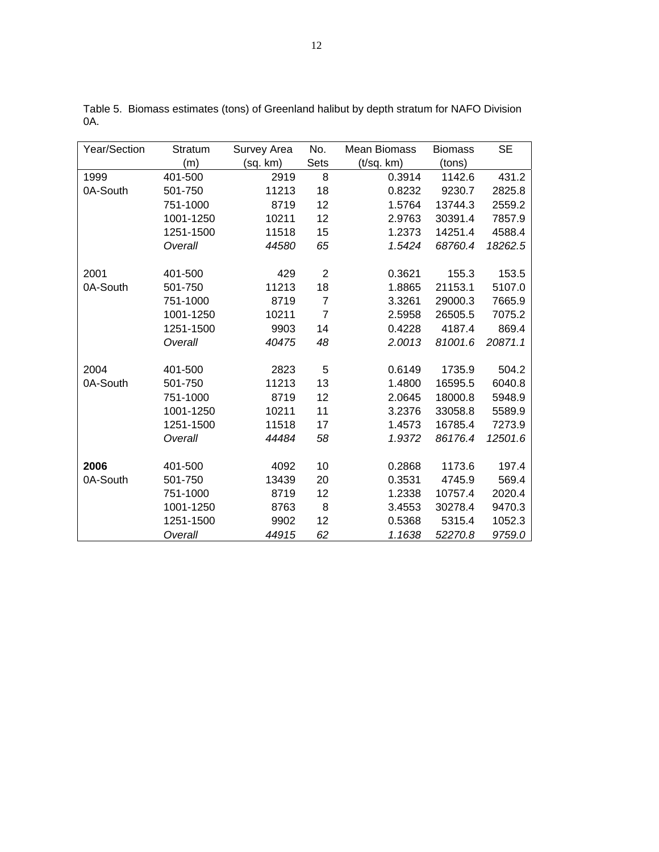| Year/Section | Stratum   | Survey Area | No.            | <b>Mean Biomass</b> | <b>Biomass</b> | <b>SE</b> |
|--------------|-----------|-------------|----------------|---------------------|----------------|-----------|
|              | (m)       | (sq. km)    | Sets           | (t/sq. km)          | (tons)         |           |
| 1999         | 401-500   | 2919        | 8              | 0.3914              | 1142.6         | 431.2     |
| 0A-South     | 501-750   | 11213       | 18             | 0.8232              | 9230.7         | 2825.8    |
|              | 751-1000  | 8719        | 12             | 1.5764              | 13744.3        | 2559.2    |
|              | 1001-1250 | 10211       | 12             | 2.9763              | 30391.4        | 7857.9    |
|              | 1251-1500 | 11518       | 15             | 1.2373              | 14251.4        | 4588.4    |
|              | Overall   | 44580       | 65             | 1.5424              | 68760.4        | 18262.5   |
| 2001         | 401-500   | 429         | $\overline{2}$ | 0.3621              | 155.3          | 153.5     |
| 0A-South     | 501-750   | 11213       | 18             | 1.8865              | 21153.1        | 5107.0    |
|              | 751-1000  | 8719        | $\overline{7}$ | 3.3261              | 29000.3        | 7665.9    |
|              | 1001-1250 | 10211       | $\overline{7}$ | 2.5958              | 26505.5        | 7075.2    |
|              | 1251-1500 | 9903        | 14             | 0.4228              | 4187.4         | 869.4     |
|              | Overall   | 40475       | 48             | 2.0013              | 81001.6        | 20871.1   |
| 2004         | 401-500   | 2823        | 5              | 0.6149              | 1735.9         | 504.2     |
| 0A-South     | 501-750   | 11213       | 13             | 1.4800              | 16595.5        | 6040.8    |
|              | 751-1000  | 8719        | 12             | 2.0645              | 18000.8        | 5948.9    |
|              | 1001-1250 | 10211       | 11             | 3.2376              | 33058.8        | 5589.9    |
|              | 1251-1500 | 11518       | 17             | 1.4573              | 16785.4        | 7273.9    |
|              | Overall   | 44484       | 58             | 1.9372              | 86176.4        | 12501.6   |
| 2006         | 401-500   | 4092        | 10             | 0.2868              | 1173.6         | 197.4     |
| 0A-South     | 501-750   | 13439       | 20             | 0.3531              | 4745.9         | 569.4     |
|              | 751-1000  | 8719        | 12             | 1.2338              | 10757.4        | 2020.4    |
|              | 1001-1250 | 8763        | 8              | 3.4553              | 30278.4        | 9470.3    |
|              | 1251-1500 | 9902        | 12             | 0.5368              | 5315.4         | 1052.3    |
|              | Overall   | 44915       | 62             | 1.1638              | 52270.8        | 9759.0    |

Table 5. Biomass estimates (tons) of Greenland halibut by depth stratum for NAFO Division 0A.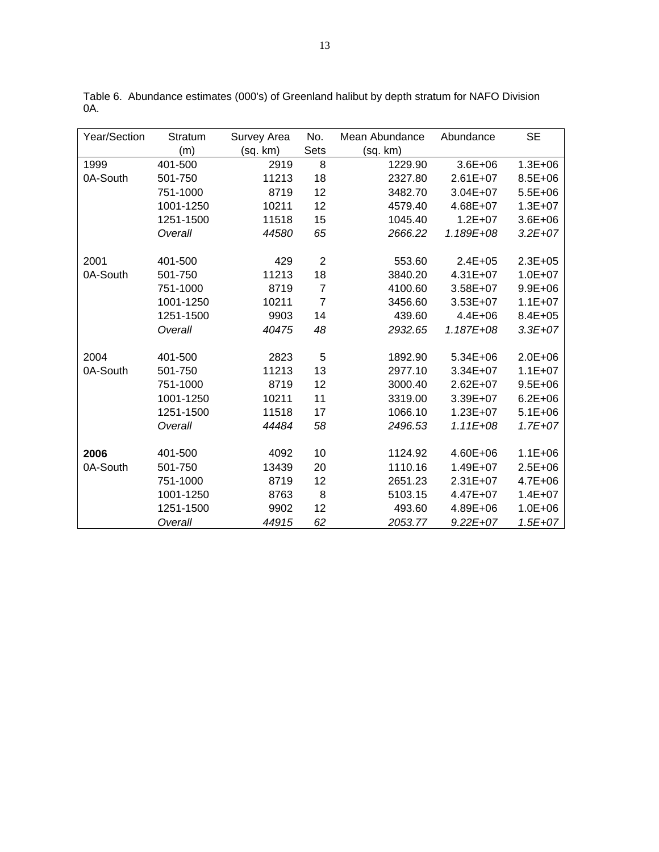| Year/Section | Stratum   | Survey Area | No.            | Mean Abundance | Abundance    | <b>SE</b>   |
|--------------|-----------|-------------|----------------|----------------|--------------|-------------|
|              | (m)       | (sq. km)    | Sets           | (sq. km)       |              |             |
| 1999         | 401-500   | 2919        | 8              | 1229.90        | $3.6E + 06$  | $1.3E + 06$ |
| 0A-South     | 501-750   | 11213       | 18             | 2327.80        | $2.61E+07$   | 8.5E+06     |
|              | 751-1000  | 8719        | 12             | 3482.70        | $3.04E + 07$ | $5.5E + 06$ |
|              | 1001-1250 | 10211       | 12             | 4579.40        | 4.68E+07     | $1.3E + 07$ |
|              | 1251-1500 | 11518       | 15             | 1045.40        | $1.2E + 07$  | $3.6E + 06$ |
|              | Overall   | 44580       | 65             | 2666.22        | 1.189E+08    | $3.2E + 07$ |
|              |           |             |                |                |              |             |
| 2001         | 401-500   | 429         | $\overline{2}$ | 553.60         | $2.4E + 05$  | $2.3E + 05$ |
| 0A-South     | 501-750   | 11213       | 18             | 3840.20        | 4.31E+07     | $1.0E + 07$ |
|              | 751-1000  | 8719        | $\overline{7}$ | 4100.60        | 3.58E+07     | $9.9E + 06$ |
|              | 1001-1250 | 10211       | $\overline{7}$ | 3456.60        | 3.53E+07     | $1.1E + 07$ |
|              | 1251-1500 | 9903        | 14             | 439.60         | $4.4E + 06$  | $8.4E + 05$ |
|              | Overall   | 40475       | 48             | 2932.65        | 1.187E+08    | $3.3E + 07$ |
|              |           |             |                |                |              |             |
| 2004         | 401-500   | 2823        | 5              | 1892.90        | 5.34E+06     | 2.0E+06     |
| 0A-South     | 501-750   | 11213       | 13             | 2977.10        | 3.34E+07     | $1.1E + 07$ |
|              | 751-1000  | 8719        | 12             | 3000.40        | 2.62E+07     | $9.5E + 06$ |
|              | 1001-1250 | 10211       | 11             | 3319.00        | 3.39E+07     | $6.2E + 06$ |
|              | 1251-1500 | 11518       | 17             | 1066.10        | $1.23E + 07$ | $5.1E + 06$ |
|              | Overall   | 44484       | 58             | 2496.53        | $1.11E + 08$ | $1.7E + 07$ |
|              |           |             |                |                |              |             |
| 2006         | 401-500   | 4092        | 10             | 1124.92        | 4.60E+06     | $1.1E + 06$ |
| 0A-South     | 501-750   | 13439       | 20             | 1110.16        | 1.49E+07     | $2.5E + 06$ |
|              | 751-1000  | 8719        | 12             | 2651.23        | $2.31E+07$   | 4.7E+06     |
|              | 1001-1250 | 8763        | 8              | 5103.15        | 4.47E+07     | $1.4E + 07$ |
|              | 1251-1500 | 9902        | 12             | 493.60         | 4.89E+06     | 1.0E+06     |
|              | Overall   | 44915       | 62             | 2053.77        | $9.22E + 07$ | $1.5E + 07$ |

Table 6. Abundance estimates (000's) of Greenland halibut by depth stratum for NAFO Division 0A.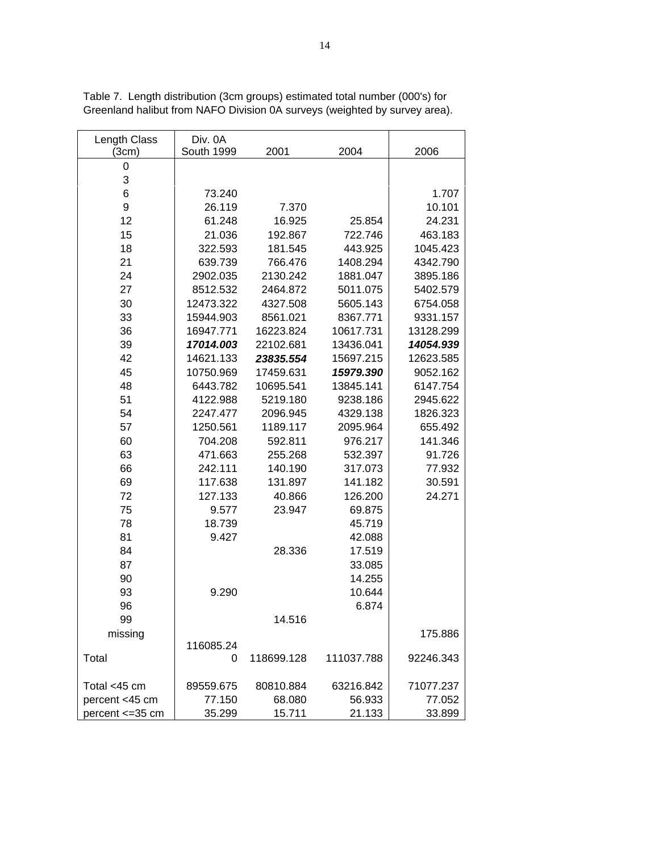| Length Class     | Div. 0A    |            |            |           |
|------------------|------------|------------|------------|-----------|
| (3cm)            | South 1999 | 2001       | 2004       | 2006      |
| 0                |            |            |            |           |
| 3                |            |            |            |           |
| 6                | 73.240     |            |            | 1.707     |
| 9                | 26.119     | 7.370      |            | 10.101    |
| 12               | 61.248     | 16.925     | 25.854     | 24.231    |
| 15               | 21.036     | 192.867    | 722.746    | 463.183   |
| 18               | 322.593    | 181.545    | 443.925    | 1045.423  |
| 21               | 639.739    | 766.476    | 1408.294   | 4342.790  |
| 24               | 2902.035   | 2130.242   | 1881.047   | 3895.186  |
| 27               | 8512.532   | 2464.872   | 5011.075   | 5402.579  |
| 30               | 12473.322  | 4327.508   | 5605.143   | 6754.058  |
| 33               | 15944.903  | 8561.021   | 8367.771   | 9331.157  |
| 36               | 16947.771  | 16223.824  | 10617.731  | 13128.299 |
| 39               | 17014.003  | 22102.681  | 13436.041  | 14054.939 |
| 42               | 14621.133  | 23835.554  | 15697.215  | 12623.585 |
| 45               | 10750.969  | 17459.631  | 15979.390  | 9052.162  |
| 48               | 6443.782   | 10695.541  | 13845.141  | 6147.754  |
| 51               | 4122.988   | 5219.180   | 9238.186   | 2945.622  |
| 54               | 2247.477   | 2096.945   | 4329.138   | 1826.323  |
| 57               | 1250.561   | 1189.117   | 2095.964   | 655.492   |
| 60               | 704.208    | 592.811    | 976.217    | 141.346   |
| 63               | 471.663    | 255.268    | 532.397    | 91.726    |
| 66               | 242.111    | 140.190    | 317.073    | 77.932    |
| 69               | 117.638    | 131.897    | 141.182    | 30.591    |
| 72               | 127.133    | 40.866     | 126.200    | 24.271    |
| 75               | 9.577      | 23.947     | 69.875     |           |
| 78               | 18.739     |            | 45.719     |           |
| 81               | 9.427      |            | 42.088     |           |
| 84               |            | 28.336     | 17.519     |           |
| 87               |            |            | 33.085     |           |
| 90               |            |            | 14.255     |           |
| 93               | 9.290      |            | 10.644     |           |
| 96               |            |            | 6.874      |           |
| 99               |            | 14.516     |            |           |
| missing          |            |            |            | 175.886   |
|                  | 116085.24  |            |            |           |
| Total            | 0          | 118699.128 | 111037.788 | 92246.343 |
| Total <45 cm     | 89559.675  | 80810.884  | 63216.842  | 71077.237 |
| percent <45 cm   | 77.150     | 68.080     | 56.933     | 77.052    |
| percent <= 35 cm | 35.299     | 15.711     | 21.133     | 33.899    |

Table 7. Length distribution (3cm groups) estimated total number (000's) for Greenland halibut from NAFO Division 0A surveys (weighted by survey area).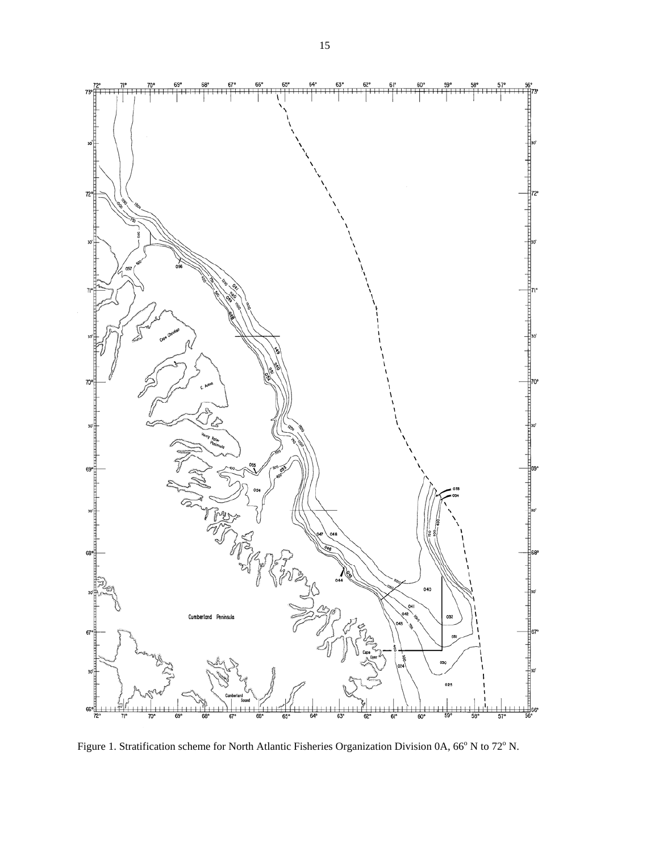

Figure 1. Stratification scheme for North Atlantic Fisheries Organization Division 0A, 66° N to 72° N.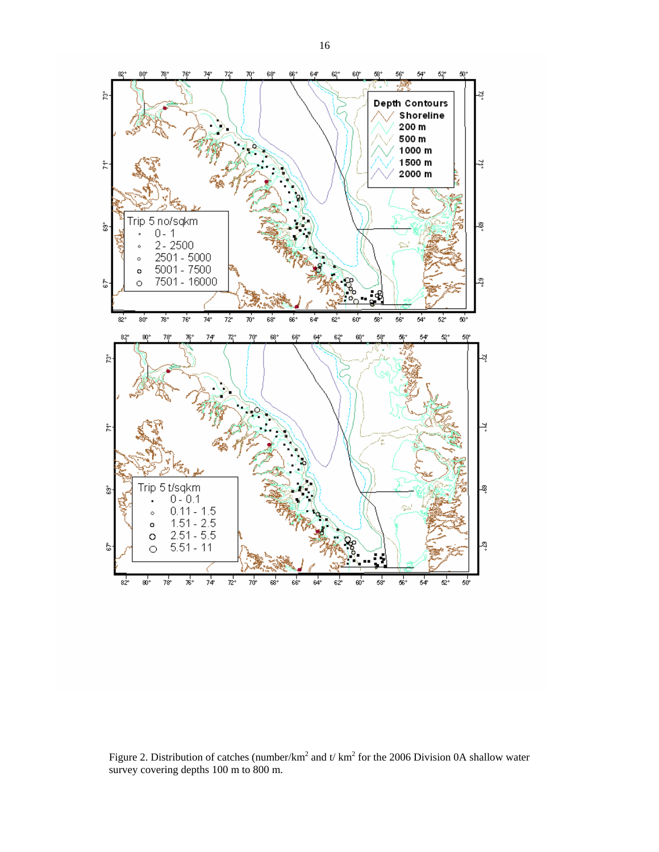

Figure 2. Distribution of catches (number/km<sup>2</sup> and t/ km<sup>2</sup> for the 2006 Division 0A shallow water survey covering depths 100 m to 800 m.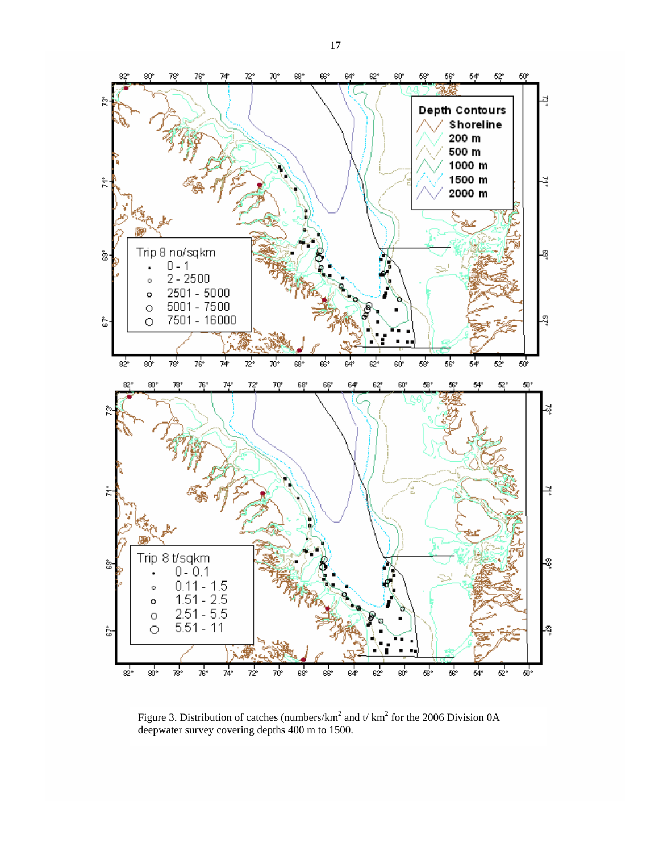

Figure 3. Distribution of catches (numbers/km<sup>2</sup> and t/ km<sup>2</sup> for the 2006 Division 0A deepwater survey covering depths 400 m to 1500.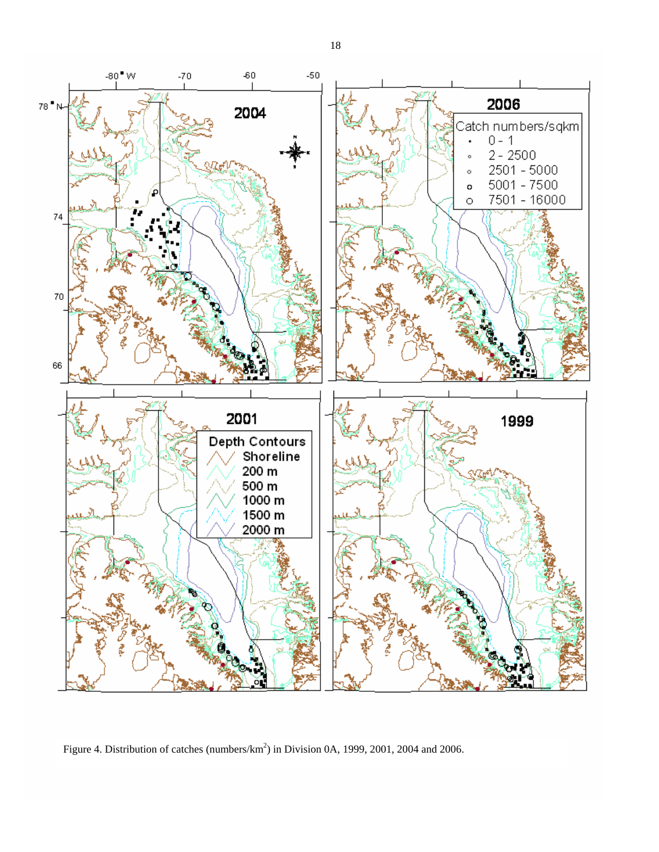

Figure 4. Distribution of catches (numbers/ $km^2$ ) in Division 0A, 1999, 2001, 2004 and 2006.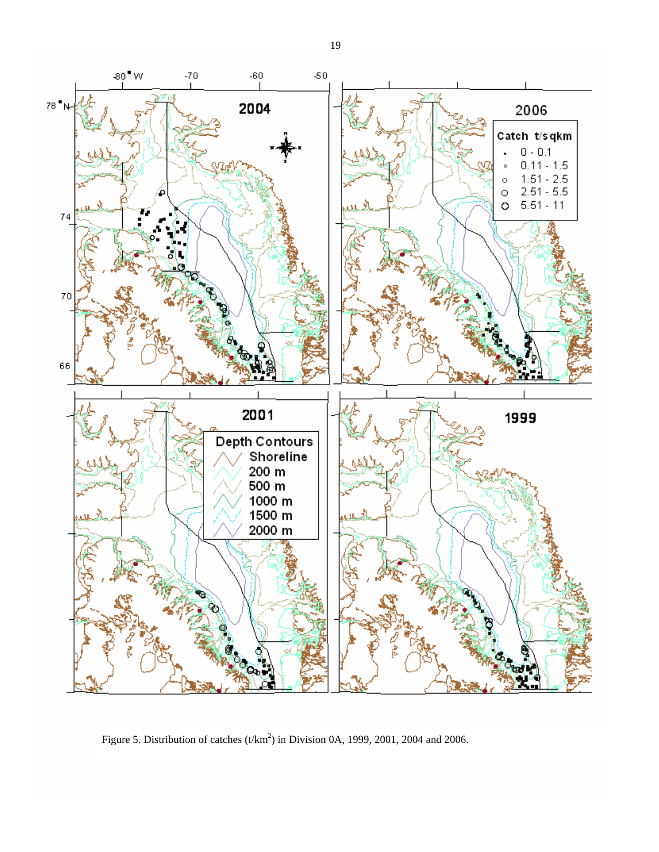

Figure 5. Distribution of catches  $(t/km^2)$  in Division 0A, 1999, 2001, 2004 and 2006.

19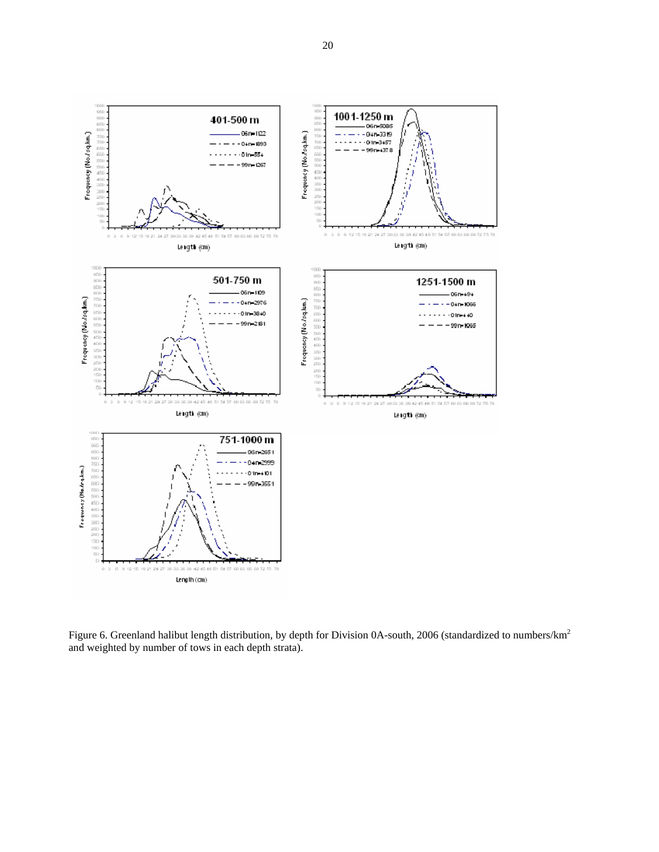

Figure 6. Greenland halibut length distribution, by depth for Division 0A-south, 2006 (standardized to numbers/km<sup>2</sup> and weighted by number of tows in each depth strata).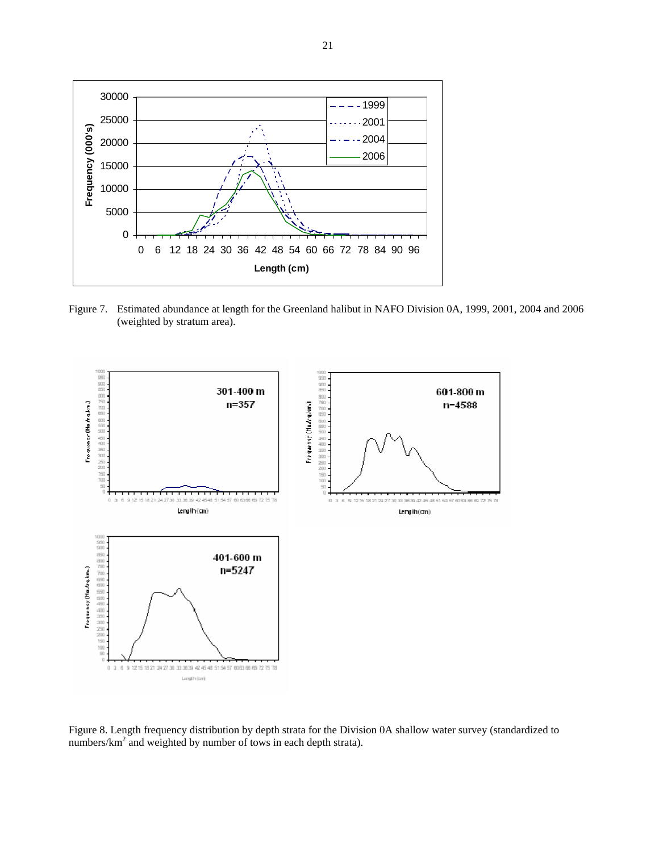

Figure 7. Estimated abundance at length for the Greenland halibut in NAFO Division 0A, 1999, 2001, 2004 and 2006 (weighted by stratum area).



Figure 8. Length frequency distribution by depth strata for the Division 0A shallow water survey (standardized to numbers/ $km^2$  and weighted by number of tows in each depth strata).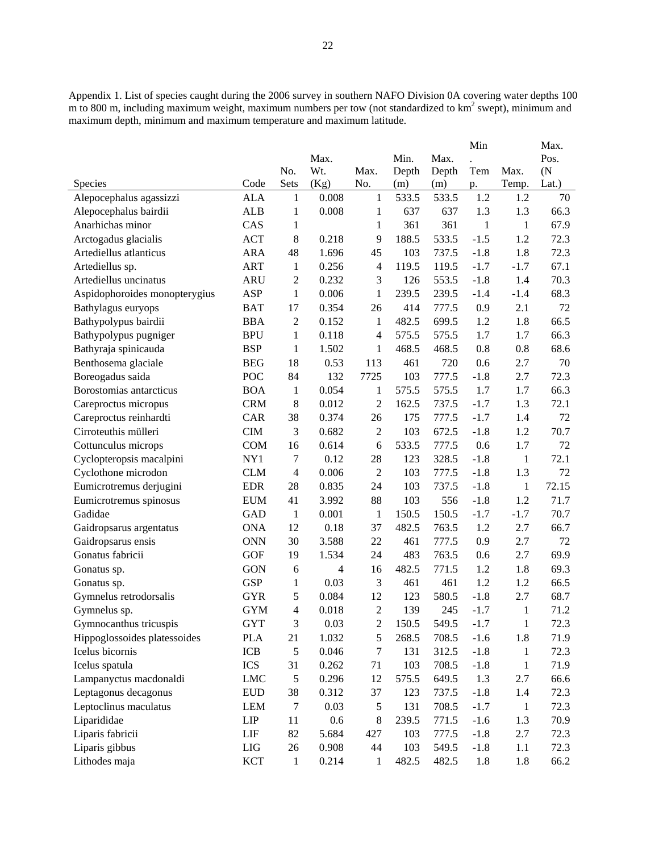Appendix 1. List of species caught during the 2006 survey in southern NAFO Division 0A covering water depths 100  $m$  to 800 m, including maximum weight, maximum numbers per tow (not standardized to  $km<sup>2</sup>$  swept), minimum and maximum depth, minimum and maximum temperature and maximum latitude.

|                               |            |                |       |                  |       |       | Min          |              | Max.              |
|-------------------------------|------------|----------------|-------|------------------|-------|-------|--------------|--------------|-------------------|
|                               |            |                | Max.  |                  | Min.  | Max.  |              |              | Pos.              |
|                               |            | No.            | Wt.   | Max.             | Depth | Depth | Tem          | Max.         | (N <sup>2</sup> ) |
| <b>Species</b>                | Code       | Sets           | (Kg)  | No.              | (m)   | (m)   | p.           | Temp.        | Lat.)             |
| Alepocephalus agassizzi       | <b>ALA</b> | 1              | 0.008 | 1                | 533.5 | 533.5 | 1.2          | 1.2          | 70                |
| Alepocephalus bairdii         | <b>ALB</b> | 1              | 0.008 | 1                | 637   | 637   | 1.3          | 1.3          | 66.3              |
| Anarhichas minor              | CAS        | $\mathbf{1}$   |       | $\mathbf{1}$     | 361   | 361   | $\mathbf{1}$ | $\mathbf{1}$ | 67.9              |
| Arctogadus glacialis          | <b>ACT</b> | 8              | 0.218 | 9                | 188.5 | 533.5 | $-1.5$       | 1.2          | 72.3              |
| Artediellus atlanticus        | <b>ARA</b> | 48             | 1.696 | 45               | 103   | 737.5 | $-1.8$       | 1.8          | 72.3              |
| Artediellus sp.               | <b>ART</b> | $\mathbf{1}$   | 0.256 | $\overline{4}$   | 119.5 | 119.5 | $-1.7$       | $-1.7$       | 67.1              |
| Artediellus uncinatus         | <b>ARU</b> | $\overline{2}$ | 0.232 | 3                | 126   | 553.5 | $-1.8$       | 1.4          | 70.3              |
| Aspidophoroides monopterygius | ASP        | $\mathbf{1}$   | 0.006 | $\mathbf{1}$     | 239.5 | 239.5 | $-1.4$       | $-1.4$       | 68.3              |
| Bathylagus euryops            | <b>BAT</b> | 17             | 0.354 | 26               | 414   | 777.5 | 0.9          | 2.1          | 72                |
| Bathypolypus bairdii          | <b>BBA</b> | $\overline{c}$ | 0.152 | 1                | 482.5 | 699.5 | 1.2          | 1.8          | 66.5              |
| Bathypolypus pugniger         | <b>BPU</b> | $\mathbf{1}$   | 0.118 | 4                | 575.5 | 575.5 | 1.7          | 1.7          | 66.3              |
| Bathyraja spinicauda          | <b>BSP</b> | 1              | 1.502 | 1                | 468.5 | 468.5 | 0.8          | 0.8          | 68.6              |
| Benthosema glaciale           | <b>BEG</b> | 18             | 0.53  | 113              | 461   | 720   | 0.6          | 2.7          | 70                |
| Boreogadus saida              | POC        | 84             | 132   | 7725             | 103   | 777.5 | $-1.8$       | 2.7          | 72.3              |
| Borostomias antarcticus       | <b>BOA</b> | 1              | 0.054 | 1                | 575.5 | 575.5 | 1.7          | 1.7          | 66.3              |
| Careproctus micropus          | <b>CRM</b> | 8              | 0.012 | $\overline{2}$   | 162.5 | 737.5 | $-1.7$       | 1.3          | 72.1              |
| Careproctus reinhardti        | CAR        | 38             | 0.374 | 26               | 175   | 777.5 | $-1.7$       | 1.4          | 72                |
| Cirroteuthis mülleri          | CIM        | 3              | 0.682 | $\mathfrak 2$    | 103   | 672.5 | $-1.8$       | 1.2          | 70.7              |
| Cottunculus microps           | <b>COM</b> | 16             | 0.614 | 6                | 533.5 | 777.5 | 0.6          | 1.7          | 72                |
| Cyclopteropsis macalpini      | NY1        | 7              | 0.12  | 28               | 123   | 328.5 | $-1.8$       | $\mathbf{1}$ | 72.1              |
| Cyclothone microdon           | <b>CLM</b> | $\overline{4}$ | 0.006 | $\mathfrak 2$    | 103   | 777.5 | $-1.8$       | 1.3          | 72                |
| Eumicrotremus derjugini       | <b>EDR</b> | 28             | 0.835 | 24               | 103   | 737.5 | $-1.8$       | $\mathbf{1}$ | 72.15             |
| Eumicrotremus spinosus        | <b>EUM</b> | 41             | 3.992 | 88               | 103   | 556   | $-1.8$       | 1.2          | 71.7              |
| Gadidae                       | <b>GAD</b> | 1              | 0.001 | $\mathbf{1}$     | 150.5 | 150.5 | $-1.7$       | $-1.7$       | 70.7              |
| Gaidropsarus argentatus       | <b>ONA</b> | 12             | 0.18  | 37               | 482.5 | 763.5 | 1.2          | 2.7          | 66.7              |
| Gaidropsarus ensis            | <b>ONN</b> | 30             | 3.588 | 22               | 461   | 777.5 | 0.9          | 2.7          | 72                |
| Gonatus fabricii              | <b>GOF</b> | 19             | 1.534 | 24               | 483   | 763.5 | 0.6          | 2.7          | 69.9              |
| Gonatus sp.                   | <b>GON</b> | 6              | 4     | 16               | 482.5 | 771.5 | 1.2          | 1.8          | 69.3              |
| Gonatus sp.                   | <b>GSP</b> | 1              | 0.03  | 3                | 461   | 461   | 1.2          | 1.2          | 66.5              |
| Gymnelus retrodorsalis        | <b>GYR</b> | 5              | 0.084 | 12               | 123   | 580.5 | $-1.8$       | 2.7          | 68.7              |
| Gymnelus sp.                  | <b>GYM</b> | $\overline{4}$ | 0.018 | $\overline{2}$   | 139   | 245   | $-1.7$       | $\mathbf{1}$ | 71.2              |
| Gymnocanthus tricuspis        | <b>GYT</b> | 3              | 0.03  | $\boldsymbol{2}$ | 150.5 | 549.5 | $-1.7$       | 1            | 72.3              |
| Hippoglossoides platessoides  | <b>PLA</b> | 21             | 1.032 | 5                | 268.5 | 708.5 | $-1.6$       | 1.8          | 71.9              |
| Icelus bicornis               | ICB        | 5              | 0.046 | $\boldsymbol{7}$ | 131   | 312.5 | $-1.8$       | 1            | 72.3              |
| Icelus spatula                | ICS        | 31             | 0.262 | 71               | 103   | 708.5 | $-1.8$       | 1            | 71.9              |
| Lampanyctus macdonaldi        | <b>LMC</b> | 5              | 0.296 | 12               | 575.5 | 649.5 | 1.3          | 2.7          | 66.6              |
| Leptagonus decagonus          | <b>EUD</b> | 38             | 0.312 | 37               | 123   | 737.5 | $-1.8$       | 1.4          | 72.3              |
| Leptoclinus maculatus         | <b>LEM</b> | $\tau$         | 0.03  | 5                | 131   | 708.5 | $-1.7$       | $\mathbf{1}$ | 72.3              |
| Liparididae                   | LIP        | 11             | 0.6   | 8                | 239.5 | 771.5 | $-1.6$       | 1.3          | 70.9              |
| Liparis fabricii              | LIF        | 82             | 5.684 | 427              | 103   | 777.5 | $-1.8$       | 2.7          | 72.3              |
| Liparis gibbus                | LIG        | 26             | 0.908 | 44               | 103   | 549.5 | $-1.8$       | 1.1          | 72.3              |
| Lithodes maja                 | <b>KCT</b> | $\mathbf{1}$   | 0.214 | 1                | 482.5 | 482.5 | 1.8          | 1.8          | 66.2              |
|                               |            |                |       |                  |       |       |              |              |                   |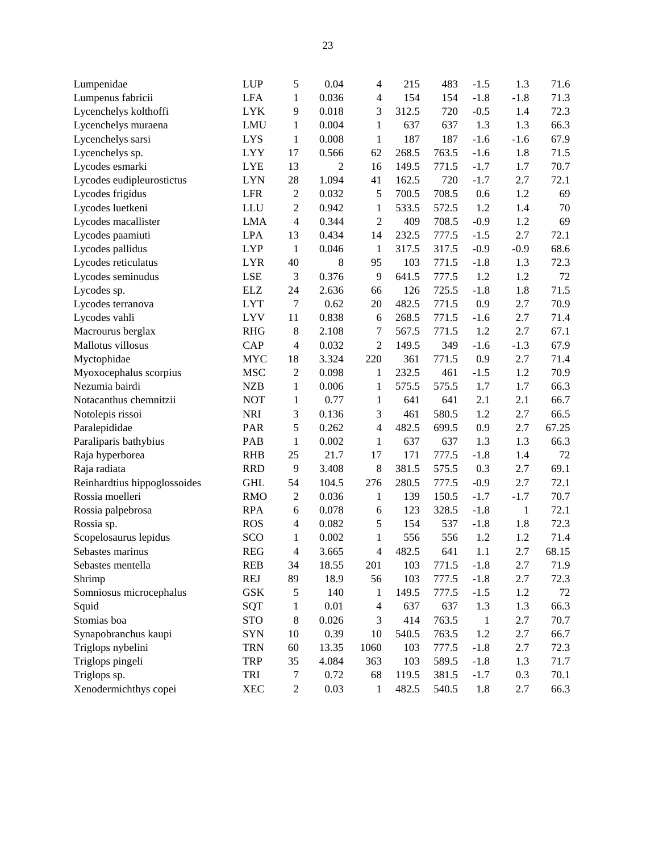| Lumpenidae                   | <b>LUP</b> | 5              | 0.04  | $\overline{4}$ | 215   | 483   | $-1.5$       | 1.3          | 71.6  |
|------------------------------|------------|----------------|-------|----------------|-------|-------|--------------|--------------|-------|
| Lumpenus fabricii            | <b>LFA</b> | $\mathbf{1}$   | 0.036 | $\overline{4}$ | 154   | 154   | $-1.8$       | $-1.8$       | 71.3  |
| Lycenchelys kolthoffi        | <b>LYK</b> | 9              | 0.018 | 3              | 312.5 | 720   | $-0.5$       | 1.4          | 72.3  |
| Lycenchelys muraena          | LMU        | 1              | 0.004 | $\mathbf{1}$   | 637   | 637   | 1.3          | 1.3          | 66.3  |
| Lycenchelys sarsi            | <b>LYS</b> | $\mathbf{1}$   | 0.008 | 1              | 187   | 187   | $-1.6$       | $-1.6$       | 67.9  |
| Lycenchelys sp.              | <b>LYY</b> | 17             | 0.566 | 62             | 268.5 | 763.5 | $-1.6$       | 1.8          | 71.5  |
| Lycodes esmarki              | <b>LYE</b> | 13             | 2     | 16             | 149.5 | 771.5 | $-1.7$       | 1.7          | 70.7  |
| Lycodes eudipleurostictus    | <b>LYN</b> | 28             | 1.094 | 41             | 162.5 | 720   | $-1.7$       | 2.7          | 72.1  |
| Lycodes frigidus             | <b>LFR</b> | $\sqrt{2}$     | 0.032 | $\mathfrak s$  | 700.5 | 708.5 | 0.6          | 1.2          | 69    |
| Lycodes luetkeni             | LLU        | $\sqrt{2}$     | 0.942 | $\mathbf{1}$   | 533.5 | 572.5 | 1.2          | 1.4          | 70    |
| Lycodes macallister          | <b>LMA</b> | $\overline{4}$ | 0.344 | $\overline{2}$ | 409   | 708.5 | $-0.9$       | 1.2          | 69    |
| Lycodes paamiuti             | <b>LPA</b> | 13             | 0.434 | 14             | 232.5 | 777.5 | $-1.5$       | 2.7          | 72.1  |
| Lycodes pallidus             | <b>LYP</b> | $\mathbf{1}$   | 0.046 | $\mathbf{1}$   | 317.5 | 317.5 | $-0.9$       | $-0.9$       | 68.6  |
| Lycodes reticulatus          | <b>LYR</b> | 40             | 8     | 95             | 103   | 771.5 | $-1.8$       | 1.3          | 72.3  |
| Lycodes seminudus            | <b>LSE</b> | $\mathfrak 3$  | 0.376 | 9              | 641.5 | 777.5 | 1.2          | 1.2          | 72    |
| Lycodes sp.                  | <b>ELZ</b> | 24             | 2.636 | 66             | 126   | 725.5 | $-1.8$       | 1.8          | 71.5  |
| Lycodes terranova            | <b>LYT</b> | $\tau$         | 0.62  | 20             | 482.5 | 771.5 | 0.9          | 2.7          | 70.9  |
| Lycodes vahli                | <b>LYV</b> | 11             | 0.838 | 6              | 268.5 | 771.5 | $-1.6$       | 2.7          | 71.4  |
| Macrourus berglax            | <b>RHG</b> | $\,8\,$        | 2.108 | $\tau$         | 567.5 | 771.5 | 1.2          | 2.7          | 67.1  |
| Mallotus villosus            | CAP        | 4              | 0.032 | $\overline{2}$ | 149.5 | 349   | $-1.6$       | $-1.3$       | 67.9  |
| Myctophidae                  | <b>MYC</b> | 18             | 3.324 | 220            | 361   | 771.5 | 0.9          | 2.7          | 71.4  |
| Myoxocephalus scorpius       | <b>MSC</b> | $\overline{c}$ | 0.098 | $\mathbf{1}$   | 232.5 | 461   | $-1.5$       | 1.2          | 70.9  |
| Nezumia bairdi               | <b>NZB</b> | $\mathbf{1}$   | 0.006 | $\mathbf{1}$   | 575.5 | 575.5 | 1.7          | 1.7          | 66.3  |
| Notacanthus chemnitzii       | <b>NOT</b> | $\mathbf{1}$   | 0.77  | 1              | 641   | 641   | 2.1          | 2.1          | 66.7  |
| Notolepis rissoi             | <b>NRI</b> | 3              | 0.136 | 3              | 461   | 580.5 | 1.2          | 2.7          | 66.5  |
| Paralepididae                | PAR        | 5              | 0.262 | $\overline{4}$ | 482.5 | 699.5 | 0.9          | 2.7          | 67.25 |
| Paraliparis bathybius        | PAB        | $\mathbf{1}$   | 0.002 | 1              | 637   | 637   | 1.3          | 1.3          | 66.3  |
| Raja hyperborea              | <b>RHB</b> | 25             | 21.7  | 17             | 171   | 777.5 | $-1.8$       | 1.4          | 72    |
| Raja radiata                 | <b>RRD</b> | 9              | 3.408 | $\,8\,$        | 381.5 | 575.5 | 0.3          | 2.7          | 69.1  |
| Reinhardtius hippoglossoides | <b>GHL</b> | 54             | 104.5 | 276            | 280.5 | 777.5 | $-0.9$       | 2.7          | 72.1  |
| Rossia moelleri              | <b>RMO</b> | $\mathbf{2}$   | 0.036 | 1              | 139   | 150.5 | $-1.7$       | $-1.7$       | 70.7  |
| Rossia palpebrosa            | <b>RPA</b> | 6              | 0.078 | 6              | 123   | 328.5 | $-1.8$       | $\mathbf{1}$ | 72.1  |
| Rossia sp.                   | <b>ROS</b> | 4              | 0.082 | $\mathfrak s$  | 154   | 537   | $-1.8$       | 1.8          | 72.3  |
| Scopelosaurus lepidus        | SCO        | $\mathbf{1}$   | 0.002 | $\mathbf{1}$   | 556   | 556   | 1.2          | 1.2          | 71.4  |
| Sebastes marinus             | <b>REG</b> | 4              | 3.665 | 4              | 482.5 | 641   | 1.1          | 2.7          | 68.15 |
| Sebastes mentella            | <b>REB</b> | 34             | 18.55 | 201            | 103   | 771.5 | $-1.8$       | 2.7          | 71.9  |
| Shrimp                       | <b>REJ</b> | 89             | 18.9  | 56             | 103   | 777.5 | $-1.8$       | 2.7          | 72.3  |
| Somniosus microcephalus      | <b>GSK</b> | 5              | 140   | $\mathbf{1}$   | 149.5 | 777.5 | $-1.5$       | 1.2          | 72    |
| Squid                        | SQT        | $\mathbf{1}$   | 0.01  | $\overline{4}$ | 637   | 637   | 1.3          | 1.3          | 66.3  |
| Stomias boa                  | <b>STO</b> | $8\,$          | 0.026 | 3              | 414   | 763.5 | $\mathbf{1}$ | 2.7          | 70.7  |
| Synapobranchus kaupi         | <b>SYN</b> | 10             | 0.39  | 10             | 540.5 | 763.5 | 1.2          | 2.7          | 66.7  |
| Triglops nybelini            | <b>TRN</b> | 60             | 13.35 | 1060           | 103   | 777.5 | $-1.8$       | 2.7          | 72.3  |
| Triglops pingeli             | <b>TRP</b> | 35             | 4.084 | 363            | 103   | 589.5 | $-1.8$       | 1.3          | 71.7  |
| Triglops sp.                 | TRI        | $\tau$         | 0.72  | 68             | 119.5 | 381.5 | $-1.7$       | 0.3          | 70.1  |
| Xenodermichthys copei        | <b>XEC</b> | $\mathbf{2}$   | 0.03  | 1              | 482.5 | 540.5 | 1.8          | 2.7          | 66.3  |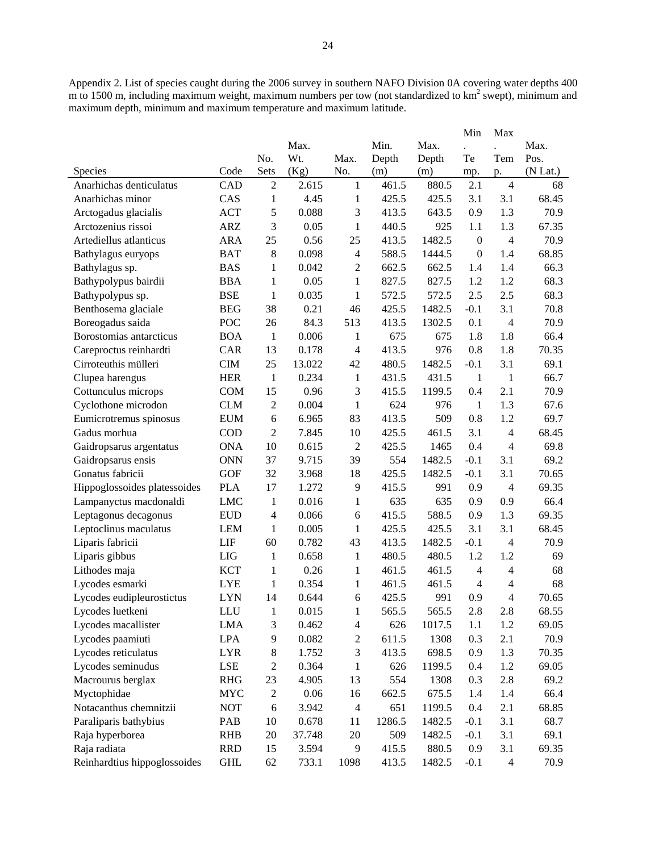Appendix 2. List of species caught during the 2006 survey in southern NAFO Division 0A covering water depths 400 m to 1500 m, including maximum weight, maximum numbers per tow (not standardized to km<sup>2</sup> swept), minimum and maximum depth, minimum and maximum temperature and maximum latitude.

|                              |            |                          |        |                          |        |        | Min                  | Max            |          |
|------------------------------|------------|--------------------------|--------|--------------------------|--------|--------|----------------------|----------------|----------|
|                              |            |                          | Max.   |                          | Min.   | Max.   | $\ddot{\phantom{a}}$ |                | Max.     |
|                              |            | No.                      | Wt.    | Max.                     | Depth  | Depth  | Te                   | Tem            | Pos.     |
| <b>Species</b>               | Code       | Sets                     | (Kg)   | No.                      | (m)    | (m)    | mp.                  | p.             | (N Lat.) |
| Anarhichas denticulatus      | CAD        | $\overline{2}$           | 2.615  | $\mathbf{1}$             | 461.5  | 880.5  | 2.1                  | $\overline{4}$ | 68       |
| Anarhichas minor             | CAS        | $\mathbf{1}$             | 4.45   | $\mathbf{1}$             | 425.5  | 425.5  | 3.1                  | 3.1            | 68.45    |
| Arctogadus glacialis         | <b>ACT</b> | 5                        | 0.088  | 3                        | 413.5  | 643.5  | 0.9                  | 1.3            | 70.9     |
| Arctozenius rissoi           | <b>ARZ</b> | 3                        | 0.05   | $\mathbf{1}$             | 440.5  | 925    | 1.1                  | 1.3            | 67.35    |
| Artediellus atlanticus       | <b>ARA</b> | 25                       | 0.56   | 25                       | 413.5  | 1482.5 | $\boldsymbol{0}$     | $\overline{4}$ | 70.9     |
| Bathylagus euryops           | <b>BAT</b> | $8\,$                    | 0.098  | $\overline{4}$           | 588.5  | 1444.5 | $\mathbf{0}$         | 1.4            | 68.85    |
| Bathylagus sp.               | <b>BAS</b> | 1                        | 0.042  | 2                        | 662.5  | 662.5  | 1.4                  | 1.4            | 66.3     |
| Bathypolypus bairdii         | <b>BBA</b> | 1                        | 0.05   | 1                        | 827.5  | 827.5  | 1.2                  | 1.2            | 68.3     |
| Bathypolypus sp.             | <b>BSE</b> | $\mathbf{1}$             | 0.035  | $\mathbf{1}$             | 572.5  | 572.5  | 2.5                  | 2.5            | 68.3     |
| Benthosema glaciale          | <b>BEG</b> | 38                       | 0.21   | 46                       | 425.5  | 1482.5 | $-0.1$               | 3.1            | 70.8     |
| Boreogadus saida             | POC        | 26                       | 84.3   | 513                      | 413.5  | 1302.5 | 0.1                  | $\overline{4}$ | 70.9     |
| Borostomias antarcticus      | <b>BOA</b> | 1                        | 0.006  | 1                        | 675    | 675    | 1.8                  | 1.8            | 66.4     |
| Careproctus reinhardti       | <b>CAR</b> | 13                       | 0.178  | $\overline{\mathcal{A}}$ | 413.5  | 976    | 0.8                  | 1.8            | 70.35    |
| Cirroteuthis mülleri         | <b>CIM</b> | 25                       | 13.022 | 42                       | 480.5  | 1482.5 | $-0.1$               | 3.1            | 69.1     |
| Clupea harengus              | <b>HER</b> | $\mathbf{1}$             | 0.234  | $\mathbf{1}$             | 431.5  | 431.5  | 1                    | $\mathbf{1}$   | 66.7     |
| Cottunculus microps          | <b>COM</b> | 15                       | 0.96   | 3                        | 415.5  | 1199.5 | 0.4                  | 2.1            | 70.9     |
| Cyclothone microdon          | <b>CLM</b> | 2                        | 0.004  | $\mathbf{1}$             | 624    | 976    | $\mathbf{1}$         | 1.3            | 67.6     |
| Eumicrotremus spinosus       | <b>EUM</b> | 6                        | 6.965  | 83                       | 413.5  | 509    | 0.8                  | 1.2            | 69.7     |
| Gadus morhua                 | COD        | $\overline{2}$           | 7.845  | 10                       | 425.5  | 461.5  | 3.1                  | $\overline{4}$ | 68.45    |
| Gaidropsarus argentatus      | <b>ONA</b> | 10                       | 0.615  | $\overline{2}$           | 425.5  | 1465   | 0.4                  | $\overline{4}$ | 69.8     |
| Gaidropsarus ensis           | <b>ONN</b> | 37                       | 9.715  | 39                       | 554    | 1482.5 | $-0.1$               | 3.1            | 69.2     |
| Gonatus fabricii             | <b>GOF</b> | 32                       | 3.968  | 18                       | 425.5  | 1482.5 | $-0.1$               | 3.1            | 70.65    |
| Hippoglossoides platessoides | <b>PLA</b> | 17                       | 1.272  | 9                        | 415.5  | 991    | 0.9                  | $\overline{4}$ | 69.35    |
| Lampanyctus macdonaldi       | <b>LMC</b> | $\mathbf{1}$             | 0.016  | $\mathbf{1}$             | 635    | 635    | 0.9                  | 0.9            | 66.4     |
| Leptagonus decagonus         | <b>EUD</b> | $\overline{\mathcal{A}}$ | 0.066  | 6                        | 415.5  | 588.5  | 0.9                  | 1.3            | 69.35    |
| Leptoclinus maculatus        | <b>LEM</b> | 1                        | 0.005  | $\mathbf{1}$             | 425.5  | 425.5  | 3.1                  | 3.1            | 68.45    |
| Liparis fabricii             | LIF        | 60                       | 0.782  | 43                       | 413.5  | 1482.5 | $-0.1$               | $\overline{4}$ | 70.9     |
| Liparis gibbus               | <b>LIG</b> | 1                        | 0.658  | $\mathbf{1}$             | 480.5  | 480.5  | 1.2                  | 1.2            | 69       |
| Lithodes maja                | <b>KCT</b> | 1                        | 0.26   | 1                        | 461.5  | 461.5  | $\overline{4}$       | $\overline{4}$ | 68       |
| Lycodes esmarki              | <b>LYE</b> | 1                        | 0.354  | 1                        | 461.5  | 461.5  | 4                    | $\overline{4}$ | 68       |
| Lycodes eudipleurostictus    | <b>LYN</b> | 14                       | 0.644  | 6                        | 425.5  | 991    | 0.9                  | 4              | 70.65    |
| Lycodes luetkeni             | LLU        | $\mathbf{1}$             | 0.015  | $\mathbf{1}$             | 565.5  | 565.5  | 2.8                  | 2.8            | 68.55    |
| Lycodes macallister          | LMA        | 3                        | 0.462  | $\overline{\mathcal{A}}$ | 626    | 1017.5 | 1.1                  | 1.2            | 69.05    |
| Lycodes paamiuti             | LPA        | 9                        | 0.082  | $\overline{c}$           | 611.5  | 1308   | 0.3                  | 2.1            | 70.9     |
| Lycodes reticulatus          | <b>LYR</b> | 8                        | 1.752  | 3                        | 413.5  | 698.5  | 0.9                  | 1.3            | 70.35    |
| Lycodes seminudus            | <b>LSE</b> | 2                        | 0.364  | 1                        | 626    | 1199.5 | 0.4                  | 1.2            | 69.05    |
| Macrourus berglax            | <b>RHG</b> | 23                       | 4.905  | 13                       | 554    | 1308   | 0.3                  | 2.8            | 69.2     |
| Myctophidae                  | <b>MYC</b> | $\mathbf{2}$             | 0.06   | 16                       | 662.5  | 675.5  | 1.4                  | 1.4            | 66.4     |
| Notacanthus chemnitzii       | <b>NOT</b> | 6                        | 3.942  | $\overline{4}$           | 651    | 1199.5 | 0.4                  | 2.1            | 68.85    |
| Paraliparis bathybius        | PAB        | 10                       | 0.678  | 11                       | 1286.5 | 1482.5 | $-0.1$               | 3.1            | 68.7     |
| Raja hyperborea              | <b>RHB</b> | 20                       | 37.748 | 20                       | 509    | 1482.5 | $-0.1$               | 3.1            | 69.1     |
| Raja radiata                 | <b>RRD</b> | 15                       | 3.594  | 9                        | 415.5  | 880.5  | 0.9                  | 3.1            | 69.35    |
| Reinhardtius hippoglossoides | <b>GHL</b> | 62                       | 733.1  | 1098                     | 413.5  | 1482.5 | $-0.1$               | $\overline{4}$ | 70.9     |